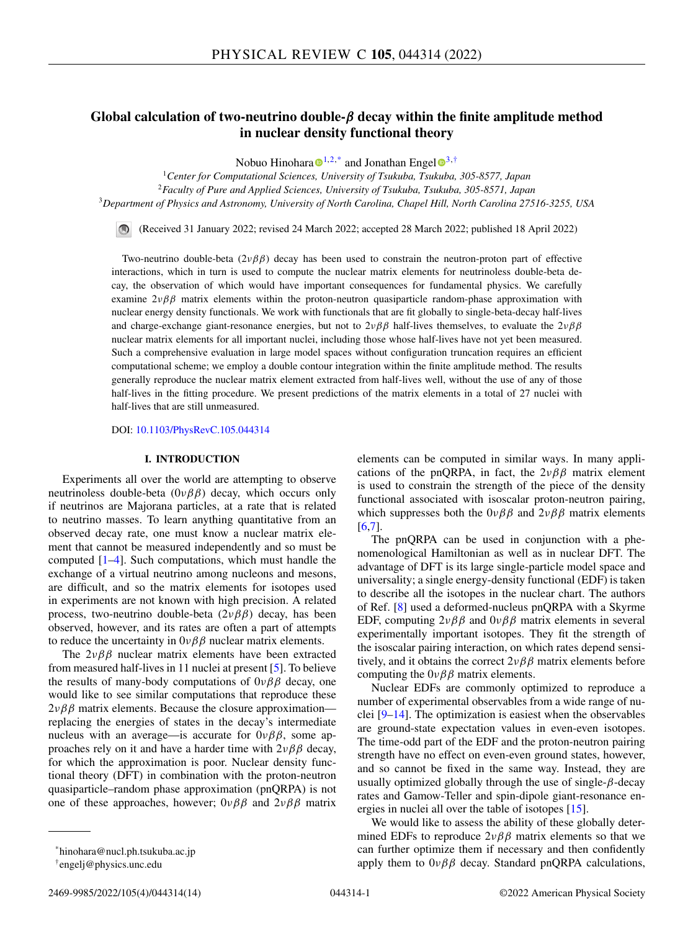# **Global calculation of two-neutrino double-***β* **decay within the finite amplitude method in nuclear density functional theory**

Nobuo Hinoh[a](https://orcid.org/0000-0001-9562-0189)ra  $\mathbb{D}^{1,2,*}$  and Jonathan Engel  $\mathbb{D}^{3,+}$  $\mathbb{D}^{3,+}$  $\mathbb{D}^{3,+}$ 

<sup>1</sup>*Center for Computational Sciences, University of Tsukuba, Tsukuba, 305-8577, Japan* <sup>2</sup>*Faculty of Pure and Applied Sciences, University of Tsukuba, Tsukuba, 305-8571, Japan* <sup>3</sup>*Department of Physics and Astronomy, University of North Carolina, Chapel Hill, North Carolina 27516-3255, USA*

(Received 31 January 2022; revised 24 March 2022; accepted 28 March 2022; published 18 April 2022)

Two-neutrino double-beta  $(2\nu\beta\beta)$  decay has been used to constrain the neutron-proton part of effective interactions, which in turn is used to compute the nuclear matrix elements for neutrinoless double-beta decay, the observation of which would have important consequences for fundamental physics. We carefully examine  $2\nu\beta\beta$  matrix elements within the proton-neutron quasiparticle random-phase approximation with nuclear energy density functionals. We work with functionals that are fit globally to single-beta-decay half-lives and charge-exchange giant-resonance energies, but not to  $2\nu\beta\beta$  half-lives themselves, to evaluate the  $2\nu\beta\beta$ nuclear matrix elements for all important nuclei, including those whose half-lives have not yet been measured. Such a comprehensive evaluation in large model spaces without configuration truncation requires an efficient computational scheme; we employ a double contour integration within the finite amplitude method. The results generally reproduce the nuclear matrix element extracted from half-lives well, without the use of any of those half-lives in the fitting procedure. We present predictions of the matrix elements in a total of 27 nuclei with half-lives that are still unmeasured.

#### DOI: [10.1103/PhysRevC.105.044314](https://doi.org/10.1103/PhysRevC.105.044314)

### **I. INTRODUCTION**

Experiments all over the world are attempting to observe neutrinoless double-beta  $(0\nu \beta \beta)$  decay, which occurs only if neutrinos are Majorana particles, at a rate that is related to neutrino masses. To learn anything quantitative from an observed decay rate, one must know a nuclear matrix element that cannot be measured independently and so must be computed [\[1–4\]](#page-12-0). Such computations, which must handle the exchange of a virtual neutrino among nucleons and mesons, are difficult, and so the matrix elements for isotopes used in experiments are not known with high precision. A related process, two-neutrino double-beta  $(2\nu\beta\beta)$  decay, has been observed, however, and its rates are often a part of attempts to reduce the uncertainty in  $0\nu\beta\beta$  nuclear matrix elements.

The  $2\nu\beta\beta$  nuclear matrix elements have been extracted from measured half-lives in 11 nuclei at present [\[5\]](#page-12-0). To believe the results of many-body computations of  $0\nu\beta\beta$  decay, one would like to see similar computations that reproduce these  $2\nu\beta\beta$  matrix elements. Because the closure approximation replacing the energies of states in the decay's intermediate nucleus with an average—is accurate for  $0\nu\beta\beta$ , some approaches rely on it and have a harder time with  $2\nu\beta\beta$  decay, for which the approximation is poor. Nuclear density functional theory (DFT) in combination with the proton-neutron quasiparticle–random phase approximation (pnQRPA) is not one of these approaches, however;  $0\nu\beta\beta$  and  $2\nu\beta\beta$  matrix

elements can be computed in similar ways. In many applications of the pnQRPA, in fact, the  $2\nu\beta\beta$  matrix element is used to constrain the strength of the piece of the density functional associated with isoscalar proton-neutron pairing, which suppresses both the  $0\nu\beta\beta$  and  $2\nu\beta\beta$  matrix elements [\[6,7\]](#page-12-0).

The pnQRPA can be used in conjunction with a phenomenological Hamiltonian as well as in nuclear DFT. The advantage of DFT is its large single-particle model space and universality; a single energy-density functional (EDF) is taken to describe all the isotopes in the nuclear chart. The authors of Ref. [\[8\]](#page-12-0) used a deformed-nucleus pnQRPA with a Skyrme EDF, computing  $2\nu\beta\beta$  and  $0\nu\beta\beta$  matrix elements in several experimentally important isotopes. They fit the strength of the isoscalar pairing interaction, on which rates depend sensitively, and it obtains the correct  $2\nu\beta\beta$  matrix elements before computing the  $0\nu\beta\beta$  matrix elements.

Nuclear EDFs are commonly optimized to reproduce a number of experimental observables from a wide range of nuclei [\[9–14\]](#page-12-0). The optimization is easiest when the observables are ground-state expectation values in even-even isotopes. The time-odd part of the EDF and the proton-neutron pairing strength have no effect on even-even ground states, however, and so cannot be fixed in the same way. Instead, they are usually optimized globally through the use of single- $\beta$ -decay rates and Gamow-Teller and spin-dipole giant-resonance energies in nuclei all over the table of isotopes [\[15\]](#page-12-0).

We would like to assess the ability of these globally determined EDFs to reproduce  $2\nu\beta\beta$  matrix elements so that we can further optimize them if necessary and then confidently apply them to  $0\nu\beta\beta$  decay. Standard pnQRPA calculations,

<sup>\*</sup>hinohara@nucl.ph.tsukuba.ac.jp

<sup>†</sup>engelj@physics.unc.edu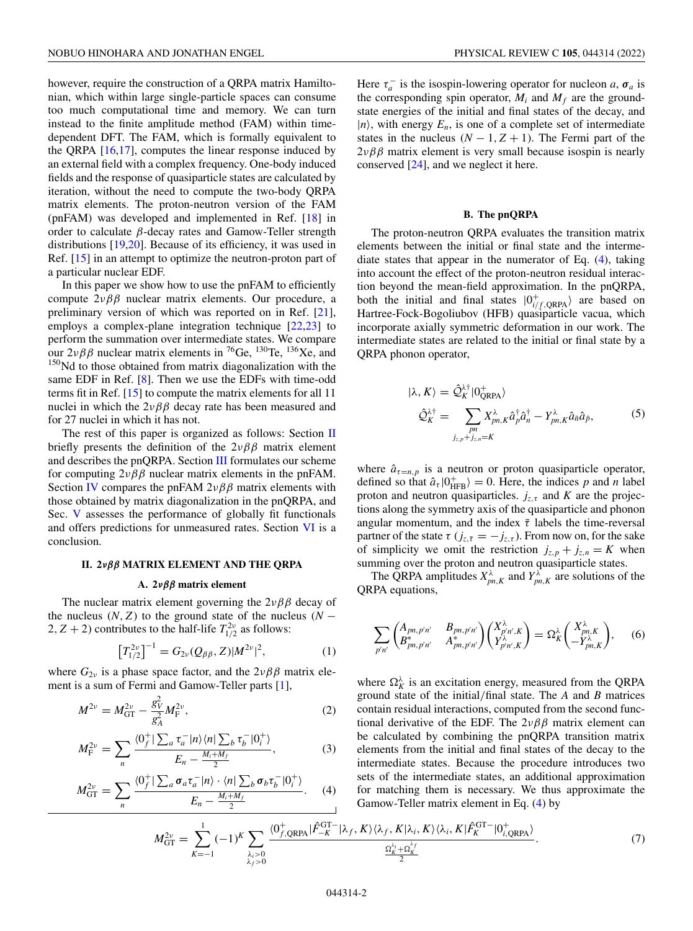<span id="page-1-0"></span>however, require the construction of a QRPA matrix Hamiltonian, which within large single-particle spaces can consume too much computational time and memory. We can turn instead to the finite amplitude method (FAM) within timedependent DFT. The FAM, which is formally equivalent to the QRPA  $[16,17]$ , computes the linear response induced by an external field with a complex frequency. One-body induced fields and the response of quasiparticle states are calculated by iteration, without the need to compute the two-body QRPA matrix elements. The proton-neutron version of the FAM (pnFAM) was developed and implemented in Ref. [\[18\]](#page-12-0) in order to calculate  $β$ -decay rates and Gamow-Teller strength distributions [\[19,20\]](#page-12-0). Because of its efficiency, it was used in Ref. [\[15\]](#page-12-0) in an attempt to optimize the neutron-proton part of a particular nuclear EDF.

In this paper we show how to use the pnFAM to efficiently compute  $2\nu\beta\beta$  nuclear matrix elements. Our procedure, a preliminary version of which was reported on in Ref. [\[21\]](#page-12-0), employs a complex-plane integration technique [\[22,](#page-12-0)[23\]](#page-13-0) to perform the summation over intermediate states. We compare our  $2\nu\beta\beta$  nuclear matrix elements in <sup>76</sup>Ge, <sup>130</sup>Te, <sup>136</sup>Xe, and <sup>150</sup>Nd to those obtained from matrix diagonalization with the same EDF in Ref. [\[8\]](#page-12-0). Then we use the EDFs with time-odd terms fit in Ref. [\[15\]](#page-12-0) to compute the matrix elements for all 11 nuclei in which the  $2\nu\beta\beta$  decay rate has been measured and for 27 nuclei in which it has not.

The rest of this paper is organized as follows: Section II briefly presents the definition of the  $2\nu\beta\beta$  matrix element and describes the pnQRPA. Section [III](#page-2-0) formulates our scheme for computing  $2\nu\beta\beta$  nuclear matrix elements in the pnFAM. Section [IV](#page-3-0) compares the pnFAM  $2\nu\beta\beta$  matrix elements with those obtained by matrix diagonalization in the pnQRPA, and Sec. [V](#page-6-0) assesses the performance of globally fit functionals and offers predictions for unmeasured rates. Section [VI](#page-8-0) is a conclusion.

#### **II. 2***νββ* **MATRIX ELEMENT AND THE QRPA**

#### **A. 2***νββ* **matrix element**

The nuclear matrix element governing the  $2\nu\beta\beta$  decay of the nucleus  $(N, Z)$  to the ground state of the nucleus  $(N 2, Z + 2$ ) contributes to the half-life  $T_{1/2}^{2\nu}$  as follows:

$$
\left[T_{1/2}^{2\nu}\right]^{-1} = G_{2\nu}(Q_{\beta\beta}, Z)|M^{2\nu}|^2, \tag{1}
$$

where  $G_{2\nu}$  is a phase space factor, and the  $2\nu\beta\beta$  matrix element is a sum of Fermi and Gamow-Teller parts [\[1\]](#page-12-0),

$$
M^{2\nu} = M_{\rm GT}^{2\nu} - \frac{g_V^2}{g_A^2} M_{\rm F}^{2\nu},\tag{2}
$$

$$
M_{\rm F}^{2\nu} = \sum_{n} \frac{\langle 0_f^+ | \sum_a \tau_a^- | n \rangle \langle n | \sum_b \tau_b^- | 0_i^+ \rangle}{E_n - \frac{M_i + M_f}{2}}, \tag{3}
$$

$$
M_{\rm GT}^{2\nu} = \sum_{n} \frac{\langle 0_f^+ | \sum_a \sigma_a \tau_a^- | n \rangle \cdot \langle n | \sum_b \sigma_b \tau_b^- | 0_i^+ \rangle}{E_n - \frac{M_i + M_f}{2}}.
$$
 (4)

Here  $\tau_a^-$  is the isospin-lowering operator for nucleon *a*,  $\sigma_a$  is the corresponding spin operator,  $M_i$  and  $M_f$  are the groundstate energies of the initial and final states of the decay, and  $|n\rangle$ , with energy  $E_n$ , is one of a complete set of intermediate states in the nucleus  $(N - 1, Z + 1)$ . The Fermi part of the  $2\nu\beta\beta$  matrix element is very small because isospin is nearly conserved [\[24\]](#page-13-0), and we neglect it here.

### **B. The pnQRPA**

The proton-neutron QRPA evaluates the transition matrix elements between the initial or final state and the intermediate states that appear in the numerator of Eq. (4), taking into account the effect of the proton-neutron residual interaction beyond the mean-field approximation. In the pnQRPA, both the initial and final states  $|0^{+}_{i/f,QRPA}$  are based on Hartree-Fock-Bogoliubov (HFB) quasiparticle vacua, which incorporate axially symmetric deformation in our work. The intermediate states are related to the initial or final state by a QRPA phonon operator,

$$
|\lambda, K\rangle = \hat{\mathcal{Q}}_K^{\lambda\dagger} |0^+_{\text{QRPA}}\rangle
$$
  

$$
\hat{\mathcal{Q}}_K^{\lambda\dagger} = \sum_{\substack{pn\\j_{\bar{c},p}+j_{\bar{c},n}=K}} X_{pn,K}^{\lambda} \hat{a}_p^{\dagger} \hat{a}_n^{\dagger} - Y_{pn,K}^{\lambda} \hat{a}_n \hat{a}_{\bar{p}},
$$
 (5)

where  $\hat{a}_{\tau=n,p}$  is a neutron or proton quasiparticle operator, defined so that  $\hat{a}_{\tau} | 0_{\text{HFB}}^+ \rangle = 0$ . Here, the indices *p* and *n* label proton and neutron quasiparticles.  $j_{z,\tau}$  and *K* are the projections along the symmetry axis of the quasiparticle and phonon angular momentum, and the index  $\bar{\tau}$  labels the time-reversal partner of the state  $\tau$  ( $j_{z,\bar{\tau}} = -j_{z,\tau}$ ). From now on, for the sake of simplicity we omit the restriction  $j_{z,p} + j_{z,n} = K$  when summing over the proton and neutron quasiparticle states.

The QRPA amplitudes  $X_{pn,K}^{\lambda}$  and  $Y_{pn,K}^{\lambda}$  are solutions of the QRPA equations,

$$
\sum_{p'n'} \begin{pmatrix} A_{pn,p'n'} & B_{pn,p'n'} \\ B_{pn,p'n'}^* & A_{pn,p'n'}^* \end{pmatrix} \begin{pmatrix} X_{p'n',K}^{\lambda} \\ Y_{p'n',K}^{\lambda} \end{pmatrix} = \Omega_K^{\lambda} \begin{pmatrix} X_{pn,K}^{\lambda} \\ -Y_{pn,K}^{\lambda} \end{pmatrix}, \quad (6)
$$

where  $\Omega_K^{\lambda}$  is an excitation energy, measured from the QRPA ground state of the initial/final state. The *A* and *B* matrices contain residual interactions, computed from the second functional derivative of the EDF. The  $2\nu\beta\beta$  matrix element can be calculated by combining the pnQRPA transition matrix elements from the initial and final states of the decay to the intermediate states. Because the procedure introduces two sets of the intermediate states, an additional approximation for matching them is necessary. We thus approximate the Gamow-Teller matrix element in Eq. (4) by

$$
M_{\rm GT}^{2\nu} = \sum_{K=-1}^{1} (-1)^K \sum_{\substack{\lambda_i>0\\ \lambda_f>0}} \frac{\langle 0^+_{f,\text{QRPA}} | \hat{F}_{-K}^{\rm GT-} | \lambda_f, K \rangle \langle \lambda_f, K | \lambda_i, K \rangle \langle \lambda_i, K | \hat{F}_{K}^{\rm GT-} | 0^+_{i,\text{QRPA}} \rangle}{\frac{\Omega_{K}^{\lambda_i} + \Omega_{K}^{\lambda_f}}{2}}.
$$
(7)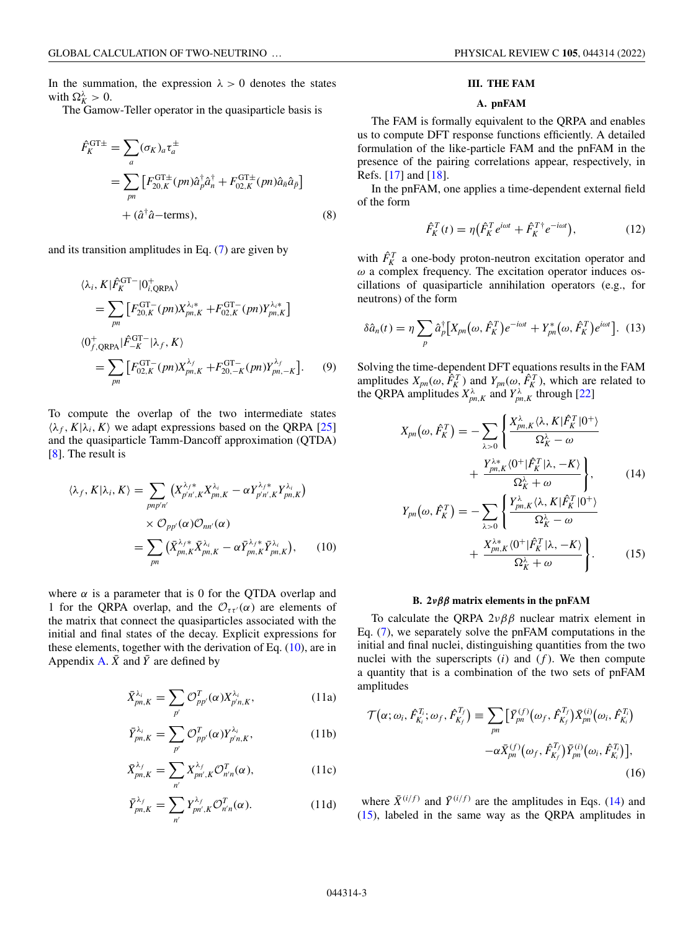<span id="page-2-0"></span>In the summation, the expression  $\lambda > 0$  denotes the states with  $\Omega_K^{\lambda} > 0$ .

The Gamow-Teller operator in the quasiparticle basis is

$$
\hat{F}_{K}^{\text{GT}\pm} = \sum_{a} (\sigma_{K})_{a} \tau_{a}^{\pm}
$$
\n
$$
= \sum_{pn} \left[ F_{20,K}^{\text{GT}\pm}(pn) \hat{a}_{p}^{\dagger} \hat{a}_{n}^{\dagger} + F_{02,K}^{\text{GT}\pm}(pn) \hat{a}_{\bar{n}} \hat{a}_{\bar{p}} \right]
$$
\n
$$
+ (\hat{a}^{\dagger} \hat{a} - \text{terms}), \qquad (8)
$$

and its transition amplitudes in Eq. [\(7\)](#page-1-0) are given by

$$
\langle \lambda_i, K | \hat{F}_K^{\text{GT}-} | 0^+_{i, \text{QRPA}} \rangle
$$
  
= 
$$
\sum_{pn} \left[ F_{20, K}^{\text{GT}-} (pn) X_{pn, K}^{\lambda_i*} + F_{02, K}^{\text{GT}-} (pn) Y_{pn, K}^{\lambda_i*} \right]
$$
  

$$
\langle 0^+_{f, \text{QRPA}} | \hat{F}_{-K}^{\text{GT}-} | \lambda_f, K \rangle
$$
  
= 
$$
\sum_{pn} \left[ F_{02, K}^{\text{GT}-} (pn) X_{pn, K}^{\lambda_f} + F_{20, -K}^{\text{GT}-} (pn) Y_{pn, -K}^{\lambda_f} \right].
$$
 (9)

To compute the overlap of the two intermediate states  $\langle \lambda_f, K | \lambda_i, K \rangle$  we adapt expressions based on the QRPA [\[25\]](#page-13-0) and the quasiparticle Tamm-Dancoff approximation (QTDA) [\[8\]](#page-12-0). The result is

$$
\langle \lambda_f, K | \lambda_i, K \rangle = \sum_{pnp'n'} \left( X_{p'n',K}^{\lambda_f *} X_{pn,K}^{\lambda_i} - \alpha Y_{p'n',K}^{\lambda_f *} Y_{pn,K}^{\lambda_i} \right)
$$

$$
\times \mathcal{O}_{pp'}(\alpha) \mathcal{O}_{nn'}(\alpha)
$$

$$
= \sum_{pn} \left( \bar{X}_{pn,K}^{\lambda_f *} \bar{X}_{pn,K}^{\lambda_i} - \alpha \bar{Y}_{pn,K}^{\lambda_f *} \bar{Y}_{pn,K}^{\lambda_i} \right), \qquad (10)
$$

where  $\alpha$  is a parameter that is 0 for the QTDA overlap and 1 for the QRPA overlap, and the  $\mathcal{O}_{\tau \tau}(\alpha)$  are elements of the matrix that connect the quasiparticles associated with the initial and final states of the decay. Explicit expressions for these elements, together with the derivation of Eq. (10), are in Appendix [A.](#page-9-0)  $\bar{X}$  and  $\bar{Y}$  are defined by

$$
\bar{X}_{pn,K}^{\lambda_i} = \sum_{p'} \mathcal{O}_{pp'}^T(\alpha) X_{p'n,K}^{\lambda_i},\tag{11a}
$$

$$
\bar{Y}_{pn,K}^{\lambda_i} = \sum_{p'} \mathcal{O}_{pp'}^T(\alpha) Y_{p'n,K}^{\lambda_i},\tag{11b}
$$

$$
\bar{X}_{pn,K}^{\lambda_f} = \sum_{n'} X_{pn',K}^{\lambda_f} \mathcal{O}_{n'n}^T(\alpha),\tag{11c}
$$

$$
\bar{Y}_{pn,K}^{\lambda_f} = \sum_{n'} Y_{pn',K}^{\lambda_f} \mathcal{O}_{n'n}^T(\alpha).
$$
 (11d)

### **III. THE FAM**

# **A. pnFAM**

The FAM is formally equivalent to the QRPA and enables us to compute DFT response functions efficiently. A detailed formulation of the like-particle FAM and the pnFAM in the presence of the pairing correlations appear, respectively, in Refs. [\[17\]](#page-12-0) and [\[18\]](#page-12-0).

In the pnFAM, one applies a time-dependent external field of the form

$$
\hat{F}_K^T(t) = \eta \left( \hat{F}_K^T e^{i\omega t} + \hat{F}_K^{T\dagger} e^{-i\omega t} \right),\tag{12}
$$

with  $\hat{F}_K^T$  a one-body proton-neutron excitation operator and  $\omega$  a complex frequency. The excitation operator induces oscillations of quasiparticle annihilation operators (e.g., for neutrons) of the form

$$
\delta \hat{a}_n(t) = \eta \sum_p \hat{a}_p^{\dagger} \big[ X_{pn} \big( \omega, \hat{F}_K^T \big) e^{-i\omega t} + Y_{pn}^* \big( \omega, \hat{F}_K^T \big) e^{i\omega t} \big]. \tag{13}
$$

Solving the time-dependent DFT equations results in the FAM amplitudes  $X_{pn}(\omega, \hat{F}_K^T)$  and  $Y_{pn}(\omega, \hat{F}_K^T)$ , which are related to the QRPA amplitudes  $X_{pn,K}^{\lambda}$  and  $Y_{pn,K}^{\lambda}$  through [\[22\]](#page-12-0)

$$
X_{pn}(\omega, \hat{F}_K^T) = -\sum_{\lambda > 0} \left\{ \frac{X_{pn,K}^{\lambda} \langle \lambda, K | \hat{F}_K^T | 0^+ \rangle}{\Omega_K^{\lambda} - \omega} + \frac{Y_{pn,K}^{\lambda *} \langle 0^+ | \hat{F}_K^T | \lambda, -K \rangle}{\Omega_K^{\lambda} + \omega} \right\},
$$
(14)

$$
Y_{pn}(\omega, \hat{F}_K^T) = -\sum_{\lambda > 0} \left\{ \frac{Y_{pn,K}^{\lambda} \langle \lambda, K | \hat{F}_K^T | 0^+ \rangle}{\Omega_K^{\lambda} - \omega} + \frac{X_{pn,K}^{\lambda *}(0^+ | \hat{F}_K^T | \lambda, -K)}{\Omega_K^{\lambda} + \omega} \right\}.
$$
 (15)

#### **B. 2***νββ* **matrix elements in the pnFAM**

To calculate the QRPA  $2\nu\beta\beta$  nuclear matrix element in Eq. [\(7\)](#page-1-0), we separately solve the pnFAM computations in the initial and final nuclei, distinguishing quantities from the two nuclei with the superscripts  $(i)$  and  $(f)$ . We then compute a quantity that is a combination of the two sets of pnFAM amplitudes

$$
\mathcal{T}(\alpha;\omega_i,\hat{F}_{K_i}^{T_i};\omega_f,\hat{F}_{K_f}^{T_f}) \equiv \sum_{pn} \left[ \bar{Y}_{pn}^{(f)}(\omega_f,\hat{F}_{K_f}^{T_f}) \bar{X}_{pn}^{(i)}(\omega_i,\hat{F}_{K_i}^{T_f}) -\alpha \bar{X}_{pn}^{(f)}(\omega_f,\hat{F}_{K_f}^{T_f}) \bar{Y}_{pn}^{(i)}(\omega_i,\hat{F}_{K_i}^{T_i}) \right],
$$
\n(16)

where  $\bar{X}^{(i/f)}$  and  $\bar{Y}^{(i/f)}$  are the amplitudes in Eqs. (14) and (15), labeled in the same way as the QRPA amplitudes in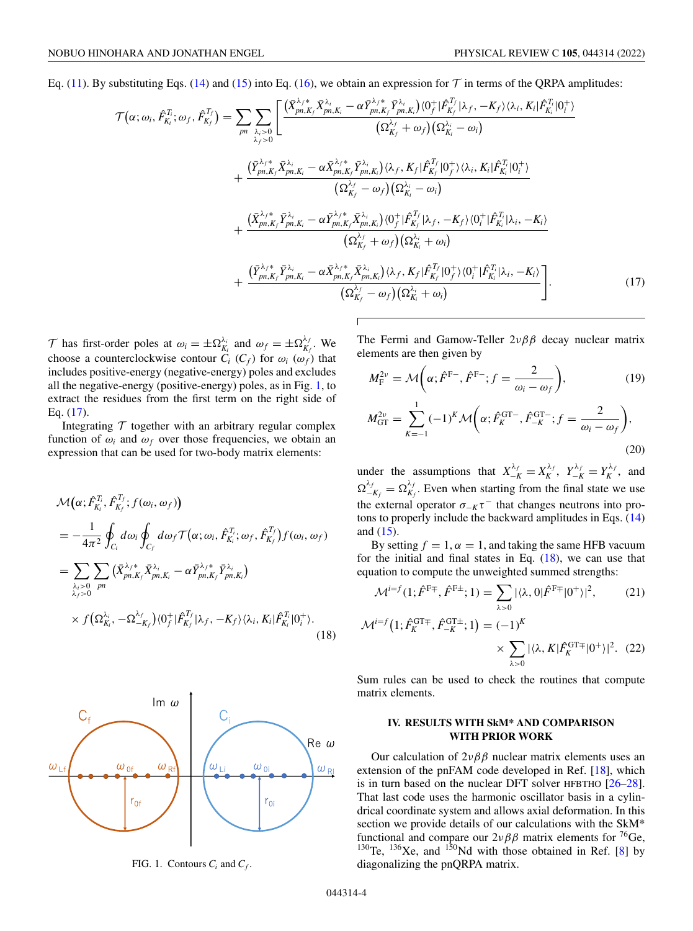<span id="page-3-0"></span>Eq. [\(11\)](#page-2-0). By substituting Eqs. [\(14\)](#page-2-0) and [\(15\)](#page-2-0) into Eq. [\(16\)](#page-2-0), we obtain an expression for  $T$  in terms of the QRPA amplitudes:

$$
\mathcal{T}(\alpha;\omega_{i},\hat{F}_{K_{i}}^{T_{i}};\omega_{f},\hat{F}_{K_{f}}^{T_{f}}) = \sum_{pn} \sum_{\lambda_{i}>0} \left[ \frac{(\bar{X}_{pn,K_{f}}^{\lambda_{f}} \bar{X}_{pn,K_{i}}^{\lambda_{i}} - \alpha \bar{Y}_{pn,K_{f}}^{\lambda_{f}} \bar{Y}_{pn,K_{i}}^{\lambda_{i}})(0_{f}^{+}|\hat{F}_{K_{f}}^{T_{f}}|\lambda_{f}, -K_{f})\langle \lambda_{i}, K_{i}|\hat{F}_{K_{i}}^{T_{i}}|0_{i}^{+}\rangle}{(\Omega_{K_{f}}^{\lambda_{f}} + \omega_{f})(\Omega_{K_{i}}^{\lambda_{i}} - \omega_{i})} + \frac{(\bar{Y}_{pn,K_{f}}^{\lambda_{f}*} \bar{X}_{pn,K_{i}}^{\lambda_{i}} - \alpha \bar{X}_{pn,K_{f}}^{\lambda_{f}*} \bar{Y}_{pn,K_{i}}^{\lambda_{i}})(\lambda_{f}, K_{f}|\hat{F}_{K_{f}}^{T_{f}}|0_{f}^{+}\rangle\langle \lambda_{i}, K_{i}|\hat{F}_{K_{i}}^{T_{i}}|0_{i}^{+}\rangle}{(\Omega_{K_{f}}^{\lambda_{f}} - \omega_{f})(\Omega_{K_{i}}^{\lambda_{i}} - \omega_{i})} + \frac{(\bar{X}_{pn,K_{f}}^{\lambda_{f}*} \bar{Y}_{pn,K_{i}}^{\lambda_{i}} - \alpha \bar{Y}_{pn,K_{f}}^{\lambda_{f}*} \bar{X}_{pn,K_{i}}^{\lambda_{i}})(0_{f}^{+}|\hat{F}_{K_{f}}^{T_{f}}|\lambda_{f}, -K_{f})\langle 0_{i}^{+}|\hat{F}_{K_{i}}^{T_{i}}|\lambda_{i}, -K_{i}\rangle}{(\Omega_{K_{f}}^{\lambda_{f}} + \omega_{f})(\Omega_{K_{i}}^{\lambda_{i}} + \omega_{i})} + \frac{(\bar{Y}_{pn,K_{f}}^{\lambda_{f}*} \bar{Y}_{pn,K_{i}}^{\lambda_{i}} - \alpha \bar{X}_{pn,K_{f}}^{\lambda_{f}*} \bar{X}_{pn,K_{i}}^{\lambda_{i}})(\lambda_{f}, K_{f}|\hat{F}_{K_{f}}^{T_{f}}|\lambda_{f}, -K_{f})\langle 0_{i}^{+}|\hat{F}_{K_{i}}^{T_{i}}|\lambda_{i}, -K_{i}\rangle}{(\Omega_{K_{f}}^{\lambda_{f}} - \omega
$$

T has first-order poles at  $\omega_i = \pm \Omega_{K_i}^{\lambda_i}$  and  $\omega_f = \pm \Omega_{K_f}^{\lambda_f}$ . We choose a counterclockwise contour  $C_i$  ( $C_f$ ) for  $\omega_i$  ( $\omega_f$ ) that includes positive-energy (negative-energy) poles and excludes all the negative-energy (positive-energy) poles, as in Fig. 1, to extract the residues from the first term on the right side of Eq. (17).

Integrating  $T$  together with an arbitrary regular complex function of  $\omega_i$  and  $\omega_f$  over those frequencies, we obtain an expression that can be used for two-body matrix elements:

$$
\mathcal{M}(\alpha; \hat{F}_{K_i}^{T_i}, \hat{F}_{K_f}^{T_f}; f(\omega_i, \omega_f))
$$
\n
$$
= -\frac{1}{4\pi^2} \oint_{C_i} d\omega_i \oint_{C_f} d\omega_f \mathcal{T}(\alpha; \omega_i, \hat{F}_{K_i}^{T_i}; \omega_f, \hat{F}_{K_f}^{T_f}) f(\omega_i, \omega_f)
$$
\n
$$
= \sum_{\substack{\lambda_i > 0 \ \lambda_i > 0 \ \mu_i}} \left( \bar{X}_{pn, K_f}^{\lambda_f *} \bar{X}_{pn, K_i}^{\lambda_i} - \alpha \bar{Y}_{pn, K_f}^{\lambda_f *} \bar{Y}_{pn, K_i}^{\lambda_i} \right)
$$
\n
$$
\times f(\Omega_{K_i}^{\lambda_i}, -\Omega_{-K_f}^{\lambda_f}) \langle 0_f^+ | \hat{F}_{K_f}^{T_f} | \lambda_f, -K_f \rangle \langle \lambda_i, K_i | \hat{F}_{K_i}^{T_i} | 0_i^+ \rangle. \tag{18}
$$



FIG. 1. Contours  $C_i$  and  $C_f$ .

The Fermi and Gamow-Teller  $2\nu\beta\beta$  decay nuclear matrix elements are then given by

$$
M_{\rm F}^{2\nu} = \mathcal{M}\bigg(\alpha; \hat{F}^{\rm F-}, \hat{F}^{\rm F-}; f = \frac{2}{\omega_i - \omega_f}\bigg),\tag{19}
$$

$$
M_{\rm GT}^{2\nu} = \sum_{K=-1}^{1} (-1)^K \mathcal{M}\bigg(\alpha; \hat{F}_K^{\rm GT-}, \hat{F}_{-K}^{\rm GT-}; f = \frac{2}{\omega_i - \omega_f}\bigg),\tag{20}
$$

under the assumptions that  $X_{-K}^{\lambda_f} = X_K^{\lambda_f}$ ,  $Y_{-K}^{\lambda_f} = Y_K^{\lambda_f}$ , and  $\Omega_{-K_f}^{\lambda_f} = \Omega_{K_f}^{\lambda_f}$ . Even when starting from the final state we use the external operator  $\sigma_{-K}\tau^-$  that changes neutrons into protons to properly include the backward amplitudes in Eqs. [\(14\)](#page-2-0) and [\(15\)](#page-2-0).

By setting  $f = 1$ ,  $\alpha = 1$ , and taking the same HFB vacuum for the initial and final states in Eq.  $(18)$ , we can use that equation to compute the unweighted summed strengths:

$$
\mathcal{M}^{i=f}(1; \hat{F}^{F\mp}, \hat{F}^{F\pm}; 1) = \sum_{\lambda > 0} |\langle \lambda, 0 | \hat{F}^{F\mp} | 0^+ \rangle|^2, \qquad (21)
$$

$$
\mathcal{M}^{i=f}(1; \hat{F}_K^{\text{GT}\mp}, \hat{F}_{-K}^{\text{GT}\pm}; 1) = (-1)^K
$$

$$
\times \sum_{\lambda > 0} |\langle \lambda, K | \hat{F}_K^{\text{GT}\mp} | 0^+ \rangle|^2. \quad (22)
$$

Sum rules can be used to check the routines that compute matrix elements.

# **IV. RESULTS WITH SkM\* AND COMPARISON WITH PRIOR WORK**

Our calculation of  $2\nu\beta\beta$  nuclear matrix elements uses an extension of the pnFAM code developed in Ref. [\[18\]](#page-12-0), which is in turn based on the nuclear DFT solver HFBTHO [\[26–28\]](#page-13-0). That last code uses the harmonic oscillator basis in a cylindrical coordinate system and allows axial deformation. In this section we provide details of our calculations with the SkM\* functional and compare our  $2\nu\beta\beta$  matrix elements for <sup>76</sup>Ge, <sup>130</sup>Te, <sup>136</sup>Xe, and <sup>150</sup>Nd with those obtained in Ref. [\[8\]](#page-12-0) by diagonalizing the pnQRPA matrix.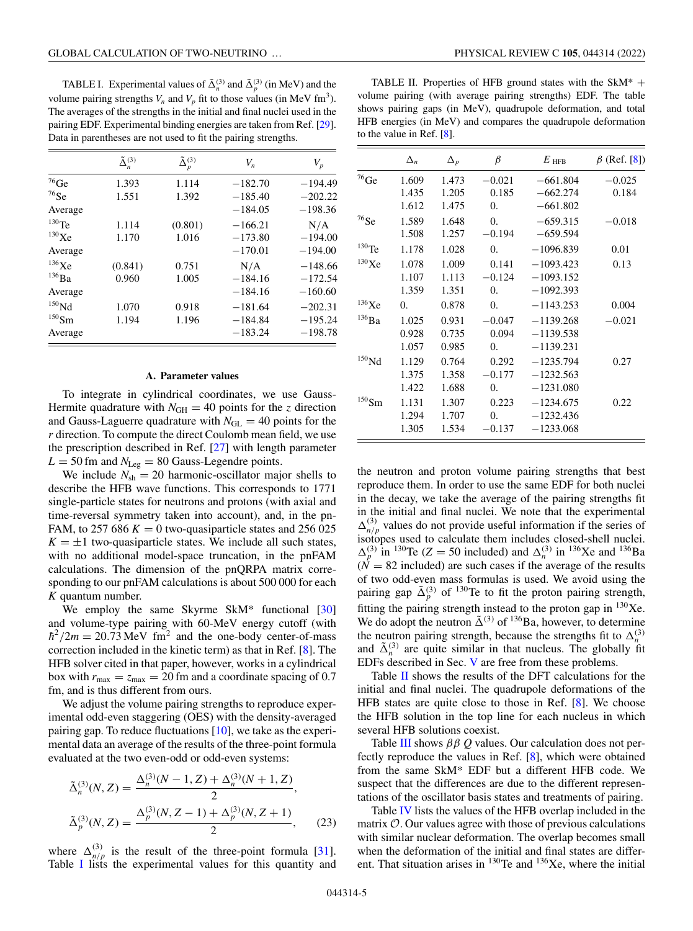TABLE I. Experimental values of  $\tilde{\Delta}_n^{(3)}$  and  $\tilde{\Delta}_p^{(3)}$  (in MeV) and the volume pairing strengths  $V_n$  and  $V_p$  fit to those values (in MeV fm<sup>3</sup>). The averages of the strengths in the initial and final nuclei used in the pairing EDF. Experimental binding energies are taken from Ref. [\[29\]](#page-13-0). Data in parentheses are not used to fit the pairing strengths.

|                     | $\tilde{\Delta}_n^{(3)}$ | $\tilde{\Delta}^{(3)}_p$ | $V_n$     | $V_p$     |
|---------------------|--------------------------|--------------------------|-----------|-----------|
| $^{76}\mathrm{Ge}$  | 1.393                    | 1.114                    | $-182.70$ | $-194.49$ |
| $^{76}$ Se          | 1.551                    | 1.392                    | $-185.40$ | $-202.22$ |
| Average             |                          |                          | $-184.05$ | $-198.36$ |
| $130$ Te            | 1.114                    | (0.801)                  | $-166.21$ | N/A       |
| $^{130}\mathrm{Xe}$ | 1.170                    | 1.016                    | $-173.80$ | $-194.00$ |
| Average             |                          |                          | $-170.01$ | $-194.00$ |
| 136Xe               | (0.841)                  | 0.751                    | N/A       | $-148.66$ |
| $^{136}\text{Ba}$   | 0.960                    | 1.005                    | $-184.16$ | $-172.54$ |
| Average             |                          |                          | $-184.16$ | $-160.60$ |
| $^{150}\mathrm{Nd}$ | 1.070                    | 0.918                    | $-181.64$ | $-202.31$ |
| $^{150}\mathrm{Sm}$ | 1.194                    | 1.196                    | $-184.84$ | $-195.24$ |
| Average             |                          |                          | $-183.24$ | $-198.78$ |

### **A. Parameter values**

To integrate in cylindrical coordinates, we use Gauss-Hermite quadrature with  $N_{GH} = 40$  points for the *z* direction and Gauss-Laguerre quadrature with  $N_{\text{GL}} = 40$  points for the *r* direction. To compute the direct Coulomb mean field, we use the prescription described in Ref. [\[27\]](#page-13-0) with length parameter  $L = 50$  fm and  $N_{\text{Leg}} = 80$  Gauss-Legendre points.

We include  $N_{\rm sh} = 20$  harmonic-oscillator major shells to describe the HFB wave functions. This corresponds to 1771 single-particle states for neutrons and protons (with axial and time-reversal symmetry taken into account), and, in the pn-FAM, to 257 686  $K = 0$  two-quasiparticle states and 256 025  $K = \pm 1$  two-quasiparticle states. We include all such states, with no additional model-space truncation, in the pnFAM calculations. The dimension of the pnQRPA matrix corresponding to our pnFAM calculations is about 500 000 for each *K* quantum number.

We employ the same Skyrme SkM<sup>\*</sup> functional [\[30\]](#page-13-0) and volume-type pairing with 60-MeV energy cutoff (with  $\hbar^2/2m = 20.73 \,\text{MeV fm}^2$  and the one-body center-of-mass correction included in the kinetic term) as that in Ref. [\[8\]](#page-12-0). The HFB solver cited in that paper, however, works in a cylindrical box with  $r_{\text{max}} = z_{\text{max}} = 20$  fm and a coordinate spacing of 0.7 fm, and is thus different from ours.

We adjust the volume pairing strengths to reproduce experimental odd-even staggering (OES) with the density-averaged pairing gap. To reduce fluctuations [\[10\]](#page-12-0), we take as the experimental data an average of the results of the three-point formula evaluated at the two even-odd or odd-even systems:

$$
\tilde{\Delta}_n^{(3)}(N, Z) = \frac{\Delta_n^{(3)}(N - 1, Z) + \Delta_n^{(3)}(N + 1, Z)}{2},
$$
  

$$
\tilde{\Delta}_p^{(3)}(N, Z) = \frac{\Delta_p^{(3)}(N, Z - 1) + \Delta_p^{(3)}(N, Z + 1)}{2},
$$
 (23)

where  $\Delta_{n/p}^{(3)}$  is the result of the three-point formula [\[31\]](#page-13-0). Table I lists the experimental values for this quantity and

TABLE II. Properties of HFB ground states with the  $SkM^*$  + volume pairing (with average pairing strengths) EDF. The table shows pairing gaps (in MeV), quadrupole deformation, and total HFB energies (in MeV) and compares the quadrupole deformation to the value in Ref. [\[8\]](#page-12-0).

|                     | $\Delta_n$ | $\Delta_p$ | $_{\beta}$    | $E$ hfb     | $\beta$ (Ref. [8]) |
|---------------------|------------|------------|---------------|-------------|--------------------|
| $^{76}\mathrm{Ge}$  | 1.609      | 1.473      | $-0.021$      | $-661.804$  | $-0.025$           |
|                     | 1.435      | 1.205      | 0.185         | $-662.274$  | 0.184              |
|                     | 1.612      | 1.475      | 0.            | $-661.802$  |                    |
| $^{76}$ Se          | 1.589      | 1.648      | $\Omega$ .    | $-659.315$  | $-0.018$           |
|                     | 1.508      | 1.257      | $-0.194$      | $-659.594$  |                    |
| $130$ Te            | 1.178      | 1.028      | 0.            | $-1096.839$ | 0.01               |
| 130Xe               | 1.078      | 1.009      | 0.141         | $-1093.423$ | 0.13               |
|                     | 1.107      | 1.113      | $-0.124$      | $-1093.152$ |                    |
|                     | 1.359      | 1.351      | 0.            | $-1092.393$ |                    |
| 136Xe               | $\Omega$ . | 0.878      | 0.            | $-1143.253$ | 0.004              |
| $^{136}\text{Ba}$   | 1.025      | 0.931      | $-0.047$<br>÷ | $-1139.268$ | $-0.021$           |
|                     | 0.928      | 0.735      | 0.094         | $-1139.538$ |                    |
|                     | 1.057      | 0.985      | 0.            | $-1139.231$ |                    |
| $^{150}\rm{Nd}$     | 1.129      | 0.764      | 0.292         | $-1235.794$ | 0.27               |
|                     | 1.375      | 1.358      | $-0.177$      | $-1232.563$ |                    |
|                     | 1.422      | 1.688      | 0.            | $-1231.080$ |                    |
| $^{150}\mathrm{Sm}$ | 1.131      | 1.307      | 0.223         | $-1234.675$ | 0.22               |
|                     | 1.294      | 1.707      | 0.            | $-1232.436$ |                    |
|                     | 1.305      | 1.534      | $-0.137$      | $-1233.068$ |                    |

the neutron and proton volume pairing strengths that best reproduce them. In order to use the same EDF for both nuclei in the decay, we take the average of the pairing strengths fit in the initial and final nuclei. We note that the experimental  $\Delta_{n/p}^{(3)}$  values do not provide useful information if the series of isotopes used to calculate them includes closed-shell nuclei.  $\Delta_p^{(3)}$  in <sup>130</sup>Te (*Z* = 50 included) and  $\Delta_n^{(3)}$  in <sup>136</sup>Xe and <sup>136</sup>Ba  $(N = 82$  included) are such cases if the average of the results of two odd-even mass formulas is used. We avoid using the pairing gap  $\tilde{\Delta}_p^{(3)}$  of <sup>130</sup>Te to fit the proton pairing strength, fitting the pairing strength instead to the proton gap in  $^{130}$ Xe. We do adopt the neutron  $\tilde{\Delta}^{(3)}$  of <sup>136</sup>Ba, however, to determine the neutron pairing strength, because the strengths fit to  $\Delta_n^{(3)}$ and  $\tilde{\Delta}_n^{(3)}$  are quite similar in that nucleus. The globally fit EDFs described in Sec. [V](#page-6-0) are free from these problems.

Table II shows the results of the DFT calculations for the initial and final nuclei. The quadrupole deformations of the HFB states are quite close to those in Ref. [\[8\]](#page-12-0). We choose the HFB solution in the top line for each nucleus in which several HFB solutions coexist.

Table [III](#page-5-0) shows ββ *Q* values. Our calculation does not perfectly reproduce the values in Ref. [\[8\]](#page-12-0), which were obtained from the same SkM\* EDF but a different HFB code. We suspect that the differences are due to the different representations of the oscillator basis states and treatments of pairing.

Table [IV](#page-5-0) lists the values of the HFB overlap included in the matrix  $\mathcal{O}$ . Our values agree with those of previous calculations with similar nuclear deformation. The overlap becomes small when the deformation of the initial and final states are different. That situation arises in  $^{130}$ Te and  $^{136}$ Xe, where the initial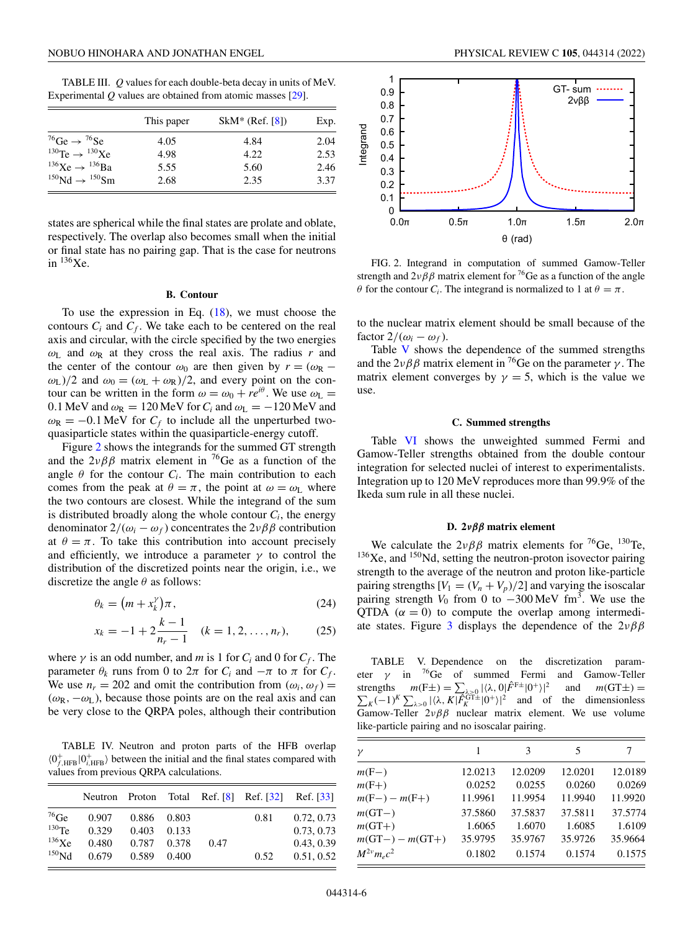<span id="page-5-0"></span>TABLE III. *Q* values for each double-beta decay in units of MeV. Experimental *Q* values are obtained from atomic masses [\[29\]](#page-13-0).

|                                                 | This paper | $SkM^*$ (Ref. [8]) | Exp. |
|-------------------------------------------------|------------|--------------------|------|
| <sup>76</sup> Ge $\rightarrow$ <sup>76</sup> Se | 4.05       | 4.84               | 2.04 |
| $^{130}$ Te $\rightarrow$ $^{130}$ Xe           | 4.98       | 4.22               | 2.53 |
| $^{136}\text{Xe} \rightarrow ^{136}\text{Ba}$   | 5.55       | 5.60               | 2.46 |
| $^{150}$ Nd $\rightarrow$ $^{150}$ Sm           | 2.68       | 2.35               | 3.37 |

states are spherical while the final states are prolate and oblate, respectively. The overlap also becomes small when the initial or final state has no pairing gap. That is the case for neutrons in  $136Xe$ .

#### **B. Contour**

To use the expression in Eq.  $(18)$ , we must choose the contours  $C_i$  and  $C_f$ . We take each to be centered on the real axis and circular, with the circle specified by the two energies  $\omega_{\text{L}}$  and  $\omega_{\text{R}}$  at they cross the real axis. The radius *r* and the center of the contour  $\omega_0$  are then given by  $r = (\omega_R \omega_L$ )/2 and  $\omega_0 = (\omega_L + \omega_R)/2$ , and every point on the contour can be written in the form  $\omega = \omega_0 + re^{i\theta}$ . We use  $\omega_L$  = 0.1 MeV and  $\omega_R = 120$  MeV for  $C_i$  and  $\omega_L = -120$  MeV and  $\omega_R = -0.1$  MeV for  $C_f$  to include all the unperturbed twoquasiparticle states within the quasiparticle-energy cutoff.

Figure 2 shows the integrands for the summed GT strength and the  $2\nu\beta\beta$  matrix element in <sup>76</sup>Ge as a function of the angle  $\theta$  for the contour  $C_i$ . The main contribution to each comes from the peak at  $\theta = \pi$ , the point at  $\omega = \omega_L$  where the two contours are closest. While the integrand of the sum is distributed broadly along the whole contour  $C_i$ , the energy denominator  $2/(\omega_i - \omega_f)$  concentrates the  $2\nu\beta\beta$  contribution at  $\theta = \pi$ . To take this contribution into account precisely and efficiently, we introduce a parameter  $\gamma$  to control the distribution of the discretized points near the origin, i.e., we discretize the angle  $\theta$  as follows:

$$
\theta_k = \left( m + x_k^{\gamma} \right) \pi, \tag{24}
$$

$$
x_k = -1 + 2\frac{k-1}{n_r - 1} \quad (k = 1, 2, \dots, n_r), \tag{25}
$$

where  $\gamma$  is an odd number, and *m* is 1 for  $C_i$  and 0 for  $C_f$ . The parameter  $\theta_k$  runs from 0 to  $2\pi$  for  $C_i$  and  $-\pi$  to  $\pi$  for  $C_f$ . We use  $n_r = 202$  and omit the contribution from  $(\omega_i, \omega_f)$  =  $(\omega_R, -\omega_L)$ , because those points are on the real axis and can be very close to the QRPA poles, although their contribution

TABLE IV. Neutron and proton parts of the HFB overlap  $\langle 0_{f,HFB}^+ | 0_{i,HFB}^+ \rangle$  between the initial and the final states compared with values from previous QRPA calculations.

|                   |       |       |       |      |      | Neutron Proton Total Ref. [8] Ref. [32] Ref. [33] |
|-------------------|-------|-------|-------|------|------|---------------------------------------------------|
| $^{76}$ Ge        | 0.907 | 0.886 | 0.803 |      | 0.81 | 0.72, 0.73                                        |
| $130$ Te.         | 0.329 | 0.403 | 0.133 |      |      | 0.73, 0.73                                        |
| $^{136}\text{Xe}$ | 0.480 | 0.787 | 0.378 | 0.47 |      | 0.43, 0.39                                        |
| $^{150}$ Nd       | 0.679 | 0.589 | 0.400 |      | 0.52 | 0.51, 0.52                                        |



FIG. 2. Integrand in computation of summed Gamow-Teller strength and  $2\nu\beta\beta$  matrix element for <sup>76</sup>Ge as a function of the angle  $\theta$  for the contour *C<sub>i</sub>*. The integrand is normalized to 1 at  $\theta = \pi$ .

to the nuclear matrix element should be small because of the factor  $2/(\omega_i - \omega_f)$ .

Table V shows the dependence of the summed strengths and the  $2\nu\beta\beta$  matrix element in <sup>76</sup>Ge on the parameter  $\gamma$ . The matrix element converges by  $\gamma = 5$ , which is the value we use.

#### **C. Summed strengths**

Table [VI](#page-6-0) shows the unweighted summed Fermi and Gamow-Teller strengths obtained from the double contour integration for selected nuclei of interest to experimentalists. Integration up to 120 MeV reproduces more than 99.9% of the Ikeda sum rule in all these nuclei.

#### **D. 2***νββ* **matrix element**

We calculate the  $2\nu\beta\beta$  matrix elements for <sup>76</sup>Ge, <sup>130</sup>Te,  $136Xe$ , and  $150Nd$ , setting the neutron-proton isovector pairing strength to the average of the neutron and proton like-particle pairing strengths  $[V_1 = (V_n + V_p)/2]$  and varying the isoscalar pairing strength  $V_0$  from 0 to  $-300 \,\text{MeV}$  fm<sup>3</sup>. We use the QTDA  $(\alpha = 0)$  to compute the overlap among intermedi-ate states. Figure [3](#page-6-0) displays the dependence of the  $2\nu\beta\beta$ 

TABLE V. Dependence on the discretization parameter  $\gamma$  in <sup>76</sup>Ge of summed Fermi and Gamow-Teller strengths  $m(F\pm) = \sum_{\lambda \geq 0} |\langle \lambda, 0 | \hat{F}^{F\pm} | 0^+ \rangle|^2$ Σ and  $m(GT\pm) =$  $K$ <sub>K</sub> $(-1)^K$   $\sum_{\lambda>0} |\langle \lambda, K | \overline{\hat{F}_K^{\text{GT}\pm}} | 0^+ \rangle|^2$  and of the dimensionless Gamow-Teller  $2\nu\beta\beta$  nuclear matrix element. We use volume like-particle pairing and no isoscalar pairing.

| $\mathcal{V}$     | 1       | 3       | 5       | 7       |
|-------------------|---------|---------|---------|---------|
| $m(F-)$           | 12.0213 | 12.0209 | 12.0201 | 12.0189 |
| $m(F+)$           | 0.0252  | 0.0255  | 0.0260  | 0.0269  |
| $m(F-) - m(F+)$   | 11.9961 | 11.9954 | 11.9940 | 11.9920 |
| $m(GT-)$          | 37.5860 | 37.5837 | 37.5811 | 37.5774 |
| $m(GT+)$          | 1.6065  | 1.6070  | 1.6085  | 1.6109  |
| $m(GT-) - m(GT+)$ | 35.9795 | 35.9767 | 35.9726 | 35.9664 |
| $M^{2\nu}m_ec^2$  | 0.1802  | 0.1574  | 0.1574  | 0.1575  |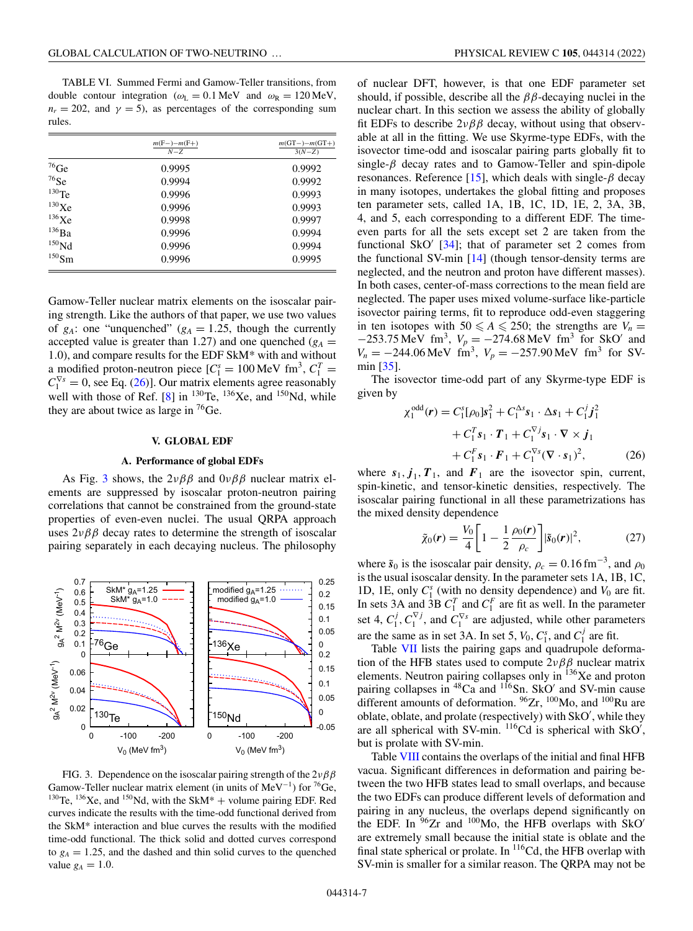<span id="page-6-0"></span>TABLE VI. Summed Fermi and Gamow-Teller transitions, from double contour integration ( $\omega_L = 0.1 \text{ MeV}$  and  $\omega_R = 120 \text{ MeV}$ ,  $n_r = 202$ , and  $\gamma = 5$ ), as percentages of the corresponding sum rules.

|                   | $m(F-) - m(F+)$<br>$N - Z$ | $m(GT-) - m(GT+)$<br>$3(N-Z)$ |
|-------------------|----------------------------|-------------------------------|
| $^{76}$ Ge        | 0.9995                     | 0.9992                        |
| $76$ Se           | 0.9994                     | 0.9992                        |
| $130$ Te          | 0.9996                     | 0.9993                        |
| $130$ Xe          | 0.9996                     | 0.9993                        |
| $136$ Xe          | 0.9998                     | 0.9997                        |
| $^{136}Ba$        | 0.9996                     | 0.9994                        |
| 150 <sub>Nd</sub> | 0.9996                     | 0.9994                        |
| $150$ Sm          | 0.9996                     | 0.9995                        |

Gamow-Teller nuclear matrix elements on the isoscalar pairing strength. Like the authors of that paper, we use two values of  $g_A$ : one "unquenched" ( $g_A$  = 1.25, though the currently accepted value is greater than 1.27) and one quenched  $(g_A =$ 1.0), and compare results for the EDF SkM\* with and without a modified proton-neutron piece  $[C_1^s = 100 \text{ MeV fm}^3, C_1^T =$  $C_1^{\nabla s} = 0$ , see Eq. (26)]. Our matrix elements agree reasonably well with those of Ref.  $[8]$  in <sup>130</sup>Te, <sup>136</sup>Xe, and <sup>150</sup>Nd, while they are about twice as large in  ${}^{76}$ Ge.

#### **V. GLOBAL EDF**

#### **A. Performance of global EDFs**

As Fig. 3 shows, the  $2\nu\beta\beta$  and  $0\nu\beta\beta$  nuclear matrix elements are suppressed by isoscalar proton-neutron pairing correlations that cannot be constrained from the ground-state properties of even-even nuclei. The usual QRPA approach uses  $2\nu\beta\beta$  decay rates to determine the strength of isoscalar pairing separately in each decaying nucleus. The philosophy



FIG. 3. Dependence on the isoscalar pairing strength of the  $2\nu\beta\beta$ Gamow-Teller nuclear matrix element (in units of MeV<sup>-1</sup>) for <sup>76</sup>Ge, <sup>130</sup>Te, <sup>136</sup>Xe, and <sup>150</sup>Nd, with the SkM<sup>\*</sup> + volume pairing EDF. Red curves indicate the results with the time-odd functional derived from the SkM\* interaction and blue curves the results with the modified time-odd functional. The thick solid and dotted curves correspond to  $g_A = 1.25$ , and the dashed and thin solid curves to the quenched value  $g_A = 1.0$ .

of nuclear DFT, however, is that one EDF parameter set should, if possible, describe all the  $\beta\beta$ -decaying nuclei in the nuclear chart. In this section we assess the ability of globally fit EDFs to describe  $2\nu\beta\beta$  decay, without using that observable at all in the fitting. We use Skyrme-type EDFs, with the isovector time-odd and isoscalar pairing parts globally fit to single- $\beta$  decay rates and to Gamow-Teller and spin-dipole resonances. Reference [\[15\]](#page-12-0), which deals with single- $\beta$  decay in many isotopes, undertakes the global fitting and proposes ten parameter sets, called 1A, 1B, 1C, 1D, 1E, 2, 3A, 3B, 4, and 5, each corresponding to a different EDF. The timeeven parts for all the sets except set 2 are taken from the functional SkO'  $[34]$ ; that of parameter set 2 comes from the functional SV-min [\[14\]](#page-12-0) (though tensor-density terms are neglected, and the neutron and proton have different masses). In both cases, center-of-mass corrections to the mean field are neglected. The paper uses mixed volume-surface like-particle isovector pairing terms, fit to reproduce odd-even staggering in ten isotopes with  $50 \le A \le 250$ ; the strengths are  $V_n =$  $-253.75 \text{ MeV fm}^3$ ,  $V_p = -274.68 \text{ MeV fm}^3$  for SkO' and  $V_n = -244.06 \text{ MeV } \text{fm}^3$ ,  $V_p = -257.90 \text{ MeV } \text{fm}^3$  for SVmin [\[35\]](#page-13-0).

The isovector time-odd part of any Skyrme-type EDF is given by

$$
\chi_1^{\text{odd}}(\boldsymbol{r}) = C_1^s[\rho_0]s_1^2 + C_1^{\Delta s}s_1 \cdot \Delta s_1 + C_1^j \boldsymbol{j}_1^2
$$
  
+ 
$$
C_1^T s_1 \cdot \boldsymbol{T}_1 + C_1^{\nabla j} s_1 \cdot \nabla \times \boldsymbol{j}_1
$$
  
+ 
$$
C_1^F s_1 \cdot \boldsymbol{F}_1 + C_1^{\nabla s} (\nabla \cdot s_1)^2,
$$
 (26)

where  $s_1$ ,  $j_1$ ,  $T_1$ , and  $F_1$  are the isovector spin, current, spin-kinetic, and tensor-kinetic densities, respectively. The isoscalar pairing functional in all these parametrizations has the mixed density dependence

$$
\tilde{\chi}_0(r) = \frac{V_0}{4} \left[ 1 - \frac{1}{2} \frac{\rho_0(r)}{\rho_c} \right] |\tilde{s}_0(r)|^2, \tag{27}
$$

where  $\tilde{s}_0$  is the isoscalar pair density,  $\rho_c = 0.16 \text{ fm}^{-3}$ , and  $\rho_0$ is the usual isoscalar density. In the parameter sets 1A, 1B, 1C, 1D, 1E, only  $C_1^s$  (with no density dependence) and  $V_0$  are fit. In sets 3A and 3B  $C_1^T$  and  $C_1^F$  are fit as well. In the parameter set 4,  $C_1^j$ ,  $C_1^{\nabla j}$ , and  $C_1^{\nabla s}$  are adjusted, while other parameters are the same as in set 3A. In set 5,  $V_0$ ,  $C_1^s$ , and  $C_1^j$  are fit.

Table [VII](#page-7-0) lists the pairing gaps and quadrupole deformation of the HFB states used to compute  $2\nu\beta\beta$  nuclear matrix elements. Neutron pairing collapses only in <sup>136</sup>Xe and proton pairing collapses in  ${}^{48}Ca$  and  ${}^{116}Sn$ . SkO' and SV-min cause different amounts of deformation.  $96Zr$ ,  $100Mo$ , and  $100Ru$  are oblate, oblate, and prolate (respectively) with SkO , while they are all spherical with SV-min.  $^{116}$ Cd is spherical with SkO', but is prolate with SV-min.

Table [VIII](#page-7-0) contains the overlaps of the initial and final HFB vacua. Significant differences in deformation and pairing between the two HFB states lead to small overlaps, and because the two EDFs can produce different levels of deformation and pairing in any nucleus, the overlaps depend significantly on the EDF. In  $96Zr$  and  $100Mo$ , the HFB overlaps with SkO' are extremely small because the initial state is oblate and the final state spherical or prolate. In <sup>116</sup>Cd, the HFB overlap with SV-min is smaller for a similar reason. The QRPA may not be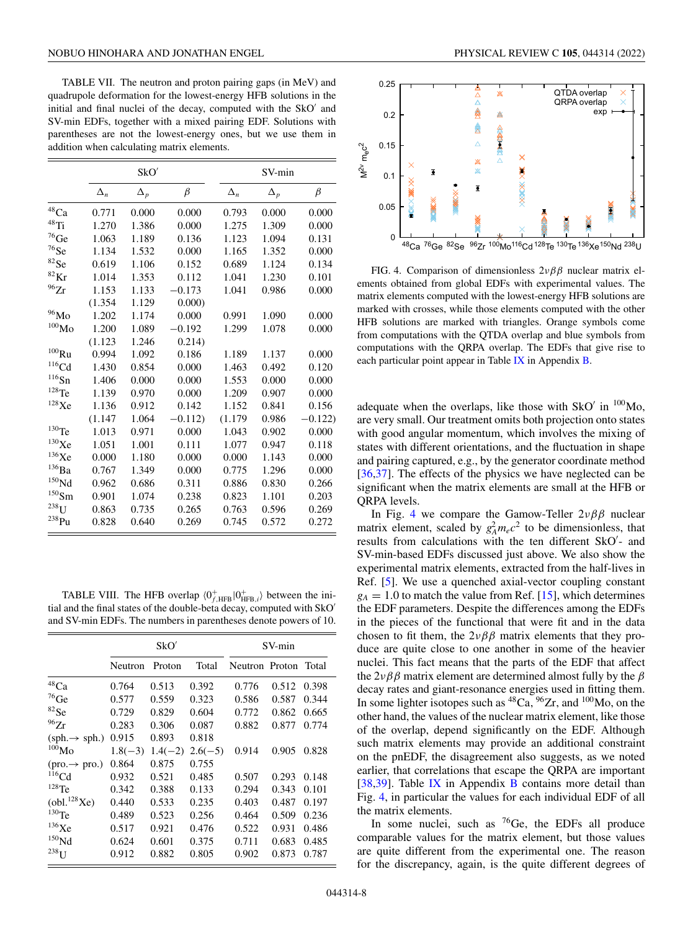<span id="page-7-0"></span>TABLE VII. The neutron and proton pairing gaps (in MeV) and quadrupole deformation for the lowest-energy HFB solutions in the initial and final nuclei of the decay, computed with the SkO' and SV-min EDFs, together with a mixed pairing EDF. Solutions with parentheses are not the lowest-energy ones, but we use them in addition when calculating matrix elements.

|                      |            | SkO'       |          |            | SV-min     |          |
|----------------------|------------|------------|----------|------------|------------|----------|
|                      | $\Delta_n$ | $\Delta_p$ | $\beta$  | $\Delta_n$ | $\Delta_p$ | $\beta$  |
| $^{48}\mathrm{Ca}$   | 0.771      | 0.000      | 0.000    | 0.793      | 0.000      | 0.000    |
| $^{48}\mathrm{Ti}$   | 1.270      | 1.386      | 0.000    | 1.275      | 1.309      | 0.000    |
| $76$ Ge              | 1.063      | 1.189      | 0.136    | 1.123      | 1.094      | 0.131    |
| $76$ Se              | 1.134      | 1.532      | 0.000    | 1.165      | 1.352      | 0.000    |
| ${}^{82}\mathrm{Se}$ | 0.619      | 1.106      | 0.152    | 0.689      | 1.124      | 0.134    |
| ${}^{82}\mathrm{Kr}$ | 1.014      | 1.353      | 0.112    | 1.041      | 1.230      | 0.101    |
| 96Zr                 | 1.153      | 1.133      | $-0.173$ | 1.041      | 0.986      | 0.000    |
|                      | (1.354)    | 1.129      | 0.000    |            |            |          |
| $^{96}\rm{Mo}$       | 1.202      | 1.174      | 0.000    | 0.991      | 1.090      | 0.000    |
| $^{100}\rm{Mo}$      | 1.200      | 1.089      | $-0.192$ | 1.299      | 1.078      | 0.000    |
|                      | (1.123)    | 1.246      | 0.214)   |            |            |          |
| $^{100}\mathrm{Ru}$  | 0.994      | 1.092      | 0.186    | 1.189      | 1.137      | 0.000    |
| $116$ Cd             | 1.430      | 0.854      | 0.000    | 1.463      | 0.492      | 0.120    |
| $116$ Sn             | 1.406      | 0.000      | 0.000    | 1.553      | 0.000      | 0.000    |
| $^{128}\mathrm{Te}$  | 1.139      | 0.970      | 0.000    | 1.209      | 0.907      | 0.000    |
| $^{128}\mathrm{Xe}$  | 1.136      | 0.912      | 0.142    | 1.152      | 0.841      | 0.156    |
|                      | (1.147)    | 1.064      | $-0.112$ | (1.179)    | 0.986      | $-0.122$ |
| $^{130}\mathrm{Te}$  | 1.013      | 0.971      | 0.000    | 1.043      | 0.902      | 0.000    |
| $^{130}\mathrm{Xe}$  | 1.051      | 1.001      | 0.111    | 1.077      | 0.947      | 0.118    |
| $^{136}\mathrm{Xe}$  | 0.000      | 1.180      | 0.000    | 0.000      | 1.143      | 0.000    |
| $^{136}\rm{Ba}$      | 0.767      | 1.349      | 0.000    | 0.775      | 1.296      | 0.000    |
| $^{150}\rm{Nd}$      | 0.962      | 0.686      | 0.311    | 0.886      | 0.830      | 0.266    |
| $^{150}\mathrm{Sm}$  | 0.901      | 1.074      | 0.238    | 0.823      | 1.101      | 0.203    |
| $238$ U              | 0.863      | 0.735      | 0.265    | 0.763      | 0.596      | 0.269    |
| $^{238}Pu$           | 0.828      | 0.640      | 0.269    | 0.745      | 0.572      | 0.272    |

TABLE VIII. The HFB overlap  $\langle 0^+_{f,\text{HFB}} | 0^+_{\text{HFB},i} \rangle$  between the initial and the final states of the double-beta decay, computed with SkO and SV-min EDFs. The numbers in parentheses denote powers of 10.

|                                         |           | SkO'      |           | SV-min         |       |       |  |
|-----------------------------------------|-----------|-----------|-----------|----------------|-------|-------|--|
|                                         | Neutron   | Proton    | Total     | Neutron Proton |       | Total |  |
| $^{48}\mathrm{Ca}$                      | 0.764     | 0.513     | 0.392     | 0.776          | 0.512 | 0.398 |  |
| $^{76}$ Ge                              | 0.577     | 0.559     | 0.323     | 0.586          | 0.587 | 0.344 |  |
| ${}^{82}Se$                             | 0.729     | 0.829     | 0.604     | 0.772          | 0.862 | 0.665 |  |
| 96Zr                                    | 0.283     | 0.306     | 0.087     | 0.882          | 0.877 | 0.774 |  |
| $(sph. \rightarrow sph.)$               | 0.915     | 0.893     | 0.818     |                |       |       |  |
| $^{100}\rm{Mo}$                         | $1.8(-3)$ | $1.4(-2)$ | $2.6(-5)$ | 0.914          | 0.905 | 0.828 |  |
| $(\text{pro.} \rightarrow \text{pro.})$ | 0.864     | 0.875     | 0.755     |                |       |       |  |
| $116$ Cd                                | 0.932     | 0.521     | 0.485     | 0.507          | 0.293 | 0.148 |  |
| $128$ Te                                | 0.342     | 0.388     | 0.133     | 0.294          | 0.343 | 0.101 |  |
| $\text{(obl.}^{128}\text{Xe)}$          | 0.440     | 0.533     | 0.235     | 0.403          | 0.487 | 0.197 |  |
| $130$ Te                                | 0.489     | 0.523     | 0.256     | 0.464          | 0.509 | 0.236 |  |
| $^{136}\mathrm{Xe}$                     | 0.517     | 0.921     | 0.476     | 0.522          | 0.931 | 0.486 |  |
| $^{150}\mathrm{Nd}$                     | 0.624     | 0.601     | 0.375     | 0.711          | 0.683 | 0.485 |  |
| $^{238}\mathrm{U}$                      | 0.912     | 0.882     | 0.805     | 0.902          | 0.873 | 0.787 |  |



FIG. 4. Comparison of dimensionless  $2\nu\beta\beta$  nuclear matrix elements obtained from global EDFs with experimental values. The matrix elements computed with the lowest-energy HFB solutions are marked with crosses, while those elements computed with the other HFB solutions are marked with triangles. Orange symbols come from computations with the QTDA overlap and blue symbols from computations with the QRPA overlap. The EDFs that give rise to each particular point appear in Table [IX](#page-10-0) in Appendix [B.](#page-12-0)

adequate when the overlaps, like those with SkO' in  $100$ Mo, are very small. Our treatment omits both projection onto states with good angular momentum, which involves the mixing of states with different orientations, and the fluctuation in shape and pairing captured, e.g., by the generator coordinate method [\[36,37\]](#page-13-0). The effects of the physics we have neglected can be significant when the matrix elements are small at the HFB or QRPA levels.

In Fig. 4 we compare the Gamow-Teller  $2\nu\beta\beta$  nuclear matrix element, scaled by  $g_A^2 m_e c^2$  to be dimensionless, that results from calculations with the ten different SkO<sup>'</sup>- and SV-min-based EDFs discussed just above. We also show the experimental matrix elements, extracted from the half-lives in Ref. [\[5\]](#page-12-0). We use a quenched axial-vector coupling constant  $g_A = 1.0$  to match the value from Ref. [\[15\]](#page-12-0), which determines the EDF parameters. Despite the differences among the EDFs in the pieces of the functional that were fit and in the data chosen to fit them, the  $2\nu\beta\beta$  matrix elements that they produce are quite close to one another in some of the heavier nuclei. This fact means that the parts of the EDF that affect the  $2\nu\beta\beta$  matrix element are determined almost fully by the  $\beta$ decay rates and giant-resonance energies used in fitting them. In some lighter isotopes such as  ${}^{48}Ca$ ,  ${}^{96}Zr$ , and  ${}^{100}Mo$ , on the other hand, the values of the nuclear matrix element, like those of the overlap, depend significantly on the EDF. Although such matrix elements may provide an additional constraint on the pnEDF, the disagreement also suggests, as we noted earlier, that correlations that escape the QRPA are important [\[38,39\]](#page-13-0). Table  $IX$  in Appendix  $B$  contains more detail than Fig. 4, in particular the values for each individual EDF of all the matrix elements.

In some nuclei, such as  ${}^{76}Ge$ , the EDFs all produce comparable values for the matrix element, but those values are quite different from the experimental one. The reason for the discrepancy, again, is the quite different degrees of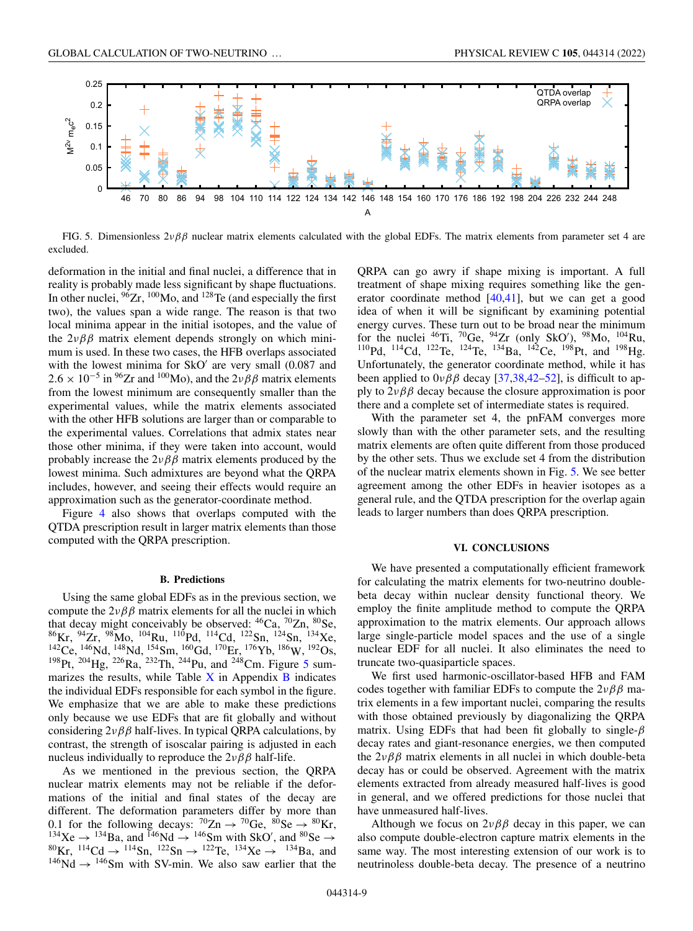<span id="page-8-0"></span>

FIG. 5. Dimensionless  $2\nu\beta\beta$  nuclear matrix elements calculated with the global EDFs. The matrix elements from parameter set 4 are excluded.

deformation in the initial and final nuclei, a difference that in reality is probably made less significant by shape fluctuations. In other nuclei,  $96Zr$ ,  $100Mo$ , and  $128Te$  (and especially the first two), the values span a wide range. The reason is that two local minima appear in the initial isotopes, and the value of the  $2\nu\beta\beta$  matrix element depends strongly on which minimum is used. In these two cases, the HFB overlaps associated with the lowest minima for  $SkO'$  are very small  $(0.087)$  and  $2.6 \times 10^{-5}$  in <sup>96</sup>Zr and <sup>100</sup>Mo), and the  $2\nu\beta\beta$  matrix elements from the lowest minimum are consequently smaller than the experimental values, while the matrix elements associated with the other HFB solutions are larger than or comparable to the experimental values. Correlations that admix states near those other minima, if they were taken into account, would probably increase the  $2\nu\beta\beta$  matrix elements produced by the lowest minima. Such admixtures are beyond what the QRPA includes, however, and seeing their effects would require an approximation such as the generator-coordinate method.

Figure [4](#page-7-0) also shows that overlaps computed with the QTDA prescription result in larger matrix elements than those computed with the QRPA prescription.

### **B. Predictions**

Using the same global EDFs as in the previous section, we compute the  $2\nu\beta\beta$  matrix elements for all the nuclei in which that decay might conceivably be observed:  $^{46}Ca$ ,  $^{70}Zn$ ,  $^{80}Se$ ,  ${}^{86}\text{Kr}, {}^{94}\text{Zr}, {}^{98}\text{Mo}, {}^{104}\text{Ru}, {}^{110}\text{Pd}, {}^{114}\text{Cd}, {}^{122}\text{Sn}, {}^{124}\text{Sn}, {}^{134}\text{Xe},$  $^{142}$ Ce,  $^{146}$ Nd,  $^{148}$ Nd,  $^{154}$ Sm,  $^{160}$ Gd,  $^{170}$ Er,  $^{176}$ Yb,  $^{186}$ W,  $^{192}$ Os, <sup>198</sup>Pt, <sup>204</sup>Hg, <sup>226</sup>Ra, <sup>232</sup>Th, <sup>244</sup>Pu, and <sup>248</sup>Cm. Figure 5 summarizes the results, while Table  $X$  in Appendix  $B$  indicates the individual EDFs responsible for each symbol in the figure. We emphasize that we are able to make these predictions only because we use EDFs that are fit globally and without considering  $2\nu\beta\beta$  half-lives. In typical QRPA calculations, by contrast, the strength of isoscalar pairing is adjusted in each nucleus individually to reproduce the  $2\nu\beta\beta$  half-life.

As we mentioned in the previous section, the QRPA nuclear matrix elements may not be reliable if the deformations of the initial and final states of the decay are different. The deformation parameters differ by more than 0.1 for the following decays:  ${}^{70}Zn \rightarrow {}^{70}Ge$ ,  ${}^{80}Se \rightarrow {}^{80}Kr$ , <sup>134</sup>Xe → <sup>134</sup>Ba, and <sup>146</sup>Nd → <sup>146</sup>Sm with SkO', and <sup>80</sup>Se →  $^{80}$ Kr, <sup>114</sup>Cd → <sup>114</sup>Sn, <sup>122</sup>Sn → <sup>122</sup>Te, <sup>134</sup>Xe → <sup>134</sup>Ba, and  $146$ Nd  $\rightarrow$   $146$ Sm with SV-min. We also saw earlier that the QRPA can go awry if shape mixing is important. A full treatment of shape mixing requires something like the generator coordinate method [\[40,41\]](#page-13-0), but we can get a good idea of when it will be significant by examining potential energy curves. These turn out to be broad near the minimum for the nuclei  $^{46}$ Ti,  $^{70}$ Ge,  $^{94}$ Zr (only SkO'),  $^{98}$ Mo,  $^{104}$ Ru, <sup>110</sup>Pd, <sup>114</sup>Cd, <sup>122</sup>Te, <sup>124</sup>Te, <sup>134</sup>Ba, <sup>142</sup>Ce, <sup>198</sup>Pt, and <sup>198</sup>Hg. Unfortunately, the generator coordinate method, while it has been applied to  $0\nu\beta\beta$  decay [\[37,38,42–52\]](#page-13-0), is difficult to apply to  $2\nu\beta\beta$  decay because the closure approximation is poor there and a complete set of intermediate states is required.

With the parameter set 4, the pnFAM converges more slowly than with the other parameter sets, and the resulting matrix elements are often quite different from those produced by the other sets. Thus we exclude set 4 from the distribution of the nuclear matrix elements shown in Fig. 5. We see better agreement among the other EDFs in heavier isotopes as a general rule, and the QTDA prescription for the overlap again leads to larger numbers than does QRPA prescription.

### **VI. CONCLUSIONS**

We have presented a computationally efficient framework for calculating the matrix elements for two-neutrino doublebeta decay within nuclear density functional theory. We employ the finite amplitude method to compute the QRPA approximation to the matrix elements. Our approach allows large single-particle model spaces and the use of a single nuclear EDF for all nuclei. It also eliminates the need to truncate two-quasiparticle spaces.

We first used harmonic-oscillator-based HFB and FAM codes together with familiar EDFs to compute the  $2\nu\beta\beta$  matrix elements in a few important nuclei, comparing the results with those obtained previously by diagonalizing the QRPA matrix. Using EDFs that had been fit globally to single- $\beta$ decay rates and giant-resonance energies, we then computed the  $2\nu\beta\beta$  matrix elements in all nuclei in which double-beta decay has or could be observed. Agreement with the matrix elements extracted from already measured half-lives is good in general, and we offered predictions for those nuclei that have unmeasured half-lives.

Although we focus on  $2\nu\beta\beta$  decay in this paper, we can also compute double-electron capture matrix elements in the same way. The most interesting extension of our work is to neutrinoless double-beta decay. The presence of a neutrino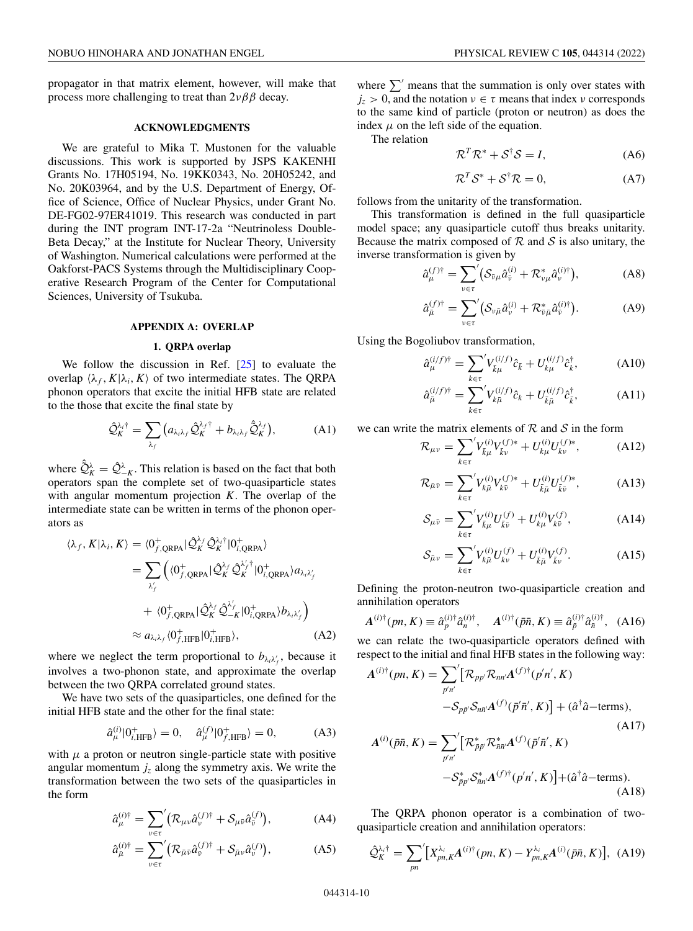<span id="page-9-0"></span>propagator in that matrix element, however, will make that process more challenging to treat than  $2\nu\beta\beta$  decay.

### **ACKNOWLEDGMENTS**

We are grateful to Mika T. Mustonen for the valuable discussions. This work is supported by JSPS KAKENHI Grants No. 17H05194, No. 19KK0343, No. 20H05242, and No. 20K03964, and by the U.S. Department of Energy, Office of Science, Office of Nuclear Physics, under Grant No. DE-FG02-97ER41019. This research was conducted in part during the INT program INT-17-2a "Neutrinoless Double-Beta Decay," at the Institute for Nuclear Theory, University of Washington. Numerical calculations were performed at the Oakforst-PACS Systems through the Multidisciplinary Cooperative Research Program of the Center for Computational Sciences, University of Tsukuba.

### **APPENDIX A: OVERLAP**

# **1. QRPA overlap**

We follow the discussion in Ref. [\[25\]](#page-13-0) to evaluate the overlap  $\langle \lambda_f, K | \lambda_i, K \rangle$  of two intermediate states. The QRPA phonon operators that excite the initial HFB state are related to the those that excite the final state by

$$
\hat{\mathcal{Q}}_K^{\lambda_i \dagger} = \sum_{\lambda_f} \left( a_{\lambda_i \lambda_f} \hat{\mathcal{Q}}_K^{\lambda_f \dagger} + b_{\lambda_i \lambda_f} \hat{\mathcal{Q}}_K^{\lambda_f} \right), \tag{A1}
$$

where  $\hat{Q}_K^{\lambda} = \hat{Q}_{-K}^{\lambda}$ . This relation is based on the fact that both operators span the complete set of two-quasiparticle states with angular momentum projection *K*. The overlap of the intermediate state can be written in terms of the phonon operators as

$$
\langle \lambda_f, K | \lambda_i, K \rangle = \langle 0_f^+_{f, \text{QRPA}} | \hat{\mathcal{Q}}_K^{\lambda_f} \hat{\mathcal{Q}}_K^{\lambda_i \dagger} | 0_{i, \text{QRPA}}^+ \rangle
$$
  
\n
$$
= \sum_{\lambda_f'} \left( \langle 0_f^+_{f, \text{QRPA}} | \hat{\mathcal{Q}}_K^{\lambda_f} \hat{\mathcal{Q}}_K^{\lambda_f \dagger} | 0_{i, \text{QRPA}}^+ \rangle a_{\lambda_i \lambda_f'} \right.
$$
  
\n
$$
+ \langle 0_f^+_{f, \text{QRPA}} | \hat{\mathcal{Q}}_K^{\lambda_f} \hat{\mathcal{Q}}_{-K}^{\lambda_f} | 0_{i, \text{QRPA}}^+ \rangle b_{\lambda_i \lambda_f'} \right)
$$
  
\n
$$
\approx a_{\lambda_i \lambda_f} \langle 0_f^+_{, \text{HFB}} | 0_{i, \text{HFB}}^+ \rangle, \tag{A2}
$$

where we neglect the term proportional to  $b_{\lambda_i \lambda'_j}$ , because it involves a two-phonon state, and approximate the overlap between the two QRPA correlated ground states.

We have two sets of the quasiparticles, one defined for the initial HFB state and the other for the final state:

$$
\hat{a}_{\mu}^{(i)}|0^{+}_{i, \text{HFB}}\rangle = 0, \quad \hat{a}_{\mu}^{(f)}|0^{+}_{f, \text{HFB}}\rangle = 0, \quad (A3)
$$

with  $\mu$  a proton or neutron single-particle state with positive angular momentum  $j_z$  along the symmetry axis. We write the transformation between the two sets of the quasiparticles in the form

$$
\hat{a}_{\mu}^{(i)\dagger} = \sum_{\nu \in \tau} (\mathcal{R}_{\mu\nu} \hat{a}_{\nu}^{(f)\dagger} + \mathcal{S}_{\mu\nu} \hat{a}_{\bar{\nu}}^{(f)}), \tag{A4}
$$

$$
\hat{a}_{\bar{\mu}}^{(i)\dagger} = \sum_{\nu \in \tau} (\mathcal{R}_{\bar{\mu}\bar{\nu}} \hat{a}_{\bar{\nu}}^{(f)\dagger} + \mathcal{S}_{\bar{\mu}\nu} \hat{a}_{\nu}^{(f)}), \tag{A5}
$$

where  $\sum'$  means that the summation is only over states with  $j_z > 0$ , and the notation  $v \in \tau$  means that index v corresponds to the same kind of particle (proton or neutron) as does the index  $\mu$  on the left side of the equation.

The relation

$$
\mathcal{R}^T \mathcal{R}^* + \mathcal{S}^\dagger \mathcal{S} = I,\tag{A6}
$$

$$
\mathcal{R}^T \mathcal{S}^* + \mathcal{S}^\dagger \mathcal{R} = 0,\tag{A7}
$$

follows from the unitarity of the transformation.

This transformation is defined in the full quasiparticle model space; any quasiparticle cutoff thus breaks unitarity. Because the matrix composed of  $R$  and  $S$  is also unitary, the inverse transformation is given by

$$
\hat{a}_{\mu}^{(f)\dagger} = \sum_{\nu \in \tau}^{\prime} \left( \mathcal{S}_{\bar{\nu}\mu} \hat{a}_{\bar{\nu}}^{(i)} + \mathcal{R}_{\nu\mu}^{*} \hat{a}_{\nu}^{(i)\dagger} \right), \tag{A8}
$$

$$
\hat{a}_{\bar{\mu}}^{(f)\dagger} = \sum_{\nu \in \tau} \left( \mathcal{S}_{\nu\bar{\mu}} \hat{a}_{\nu}^{(i)} + \mathcal{R}_{\bar{\nu}\bar{\mu}}^* \hat{a}_{\bar{\nu}}^{(i)\dagger} \right). \tag{A9}
$$

Using the Bogoliubov transformation,

$$
\hat{a}_{\mu}^{(i/f)\dagger} = \sum_{k \in \tau} V_{\bar{k}\mu}^{(i/f)} \hat{c}_{\bar{k}} + U_{k\mu}^{(i/f)} \hat{c}_{\bar{k}}^{\dagger}, \tag{A10}
$$

$$
\hat{a}_{\bar{\mu}}^{(i/f)\dagger} = \sum_{k \in \tau}^{\prime} V_{k\bar{\mu}}^{(i/f)} \hat{c}_k + U_{\bar{k}\bar{\mu}}^{(i/f)} \hat{c}_{\bar{k}}^{\dagger}, \tag{A11}
$$

we can write the matrix elements of  $R$  and  $S$  in the form

$$
\mathcal{R}_{\mu\nu} = \sum_{k \in \tau}^{\prime} V_{\bar{k}\mu}^{(i)} V_{\bar{k}\nu}^{(f)*} + U_{k\mu}^{(i)} U_{k\nu}^{(f)*}, \tag{A12}
$$

$$
\mathcal{R}_{\bar{\mu}\bar{\nu}} = \sum_{k \in \tau}^{\prime} V_{k\bar{\mu}}^{(i)} V_{k\bar{\nu}}^{(f)*} + U_{\bar{k}\bar{\mu}}^{(i)} U_{\bar{k}\bar{\nu}}^{(f)*}, \tag{A13}
$$

$$
S_{\mu\bar{\nu}} = \sum_{k \in \tau}^{\prime} V_{\bar{k}\mu}^{(i)} U_{\bar{k}\bar{\nu}}^{(f)} + U_{k\mu}^{(i)} V_{k\bar{\nu}}^{(f)}, \tag{A14}
$$

$$
S_{\bar{\mu}\nu} = \sum_{k \in \tau}^{\prime} V_{k\bar{\mu}}^{(i)} U_{k\nu}^{(f)} + U_{\bar{k}\bar{\mu}}^{(i)} V_{\bar{k}\nu}^{(f)}.
$$
 (A15)

Defining the proton-neutron two-quasiparticle creation and annihilation operators

$$
A^{(i)\dagger}(pn, K) \equiv \hat{a}_p^{(i)\dagger} \hat{a}_n^{(i)\dagger}, \quad A^{(i)\dagger}(\bar{p}\bar{n}, K) \equiv \hat{a}_p^{(i)\dagger} \hat{a}_n^{(i)\dagger}, \quad (A16)
$$

we can relate the two-quasiparticle operators defined with respect to the initial and final HFB states in the following way:

$$
A^{(i)\dagger}(pn, K) = \sum_{p'n'} \left[ \mathcal{R}_{pp'} \mathcal{R}_{nn'} A^{(f)\dagger}(p'n', K) -\mathcal{S}_{pp} \mathcal{S}_{nn'} A^{(f)}(\vec{p'n}', K) \right] + (\hat{a}^{\dagger} \hat{a} - \text{terms}),
$$
\n(A17)  
\n
$$
A^{(i)}(\bar{p}\bar{n}, K) = \sum_{p'n'} \left[ \mathcal{R}_{\bar{p}\bar{p}'}^* \mathcal{R}_{\bar{n}\bar{n}'}^* A^{(f)}(\vec{p'}\bar{n}', K) -\mathcal{S}_{\bar{p}p'}^* \mathcal{S}_{\bar{n}n'}^* A^{(f)\dagger}(p'n', K) \right] + (\hat{a}^{\dagger} \hat{a} - \text{terms}).
$$
\n(A18)

The QRPA phonon operator is a combination of twoquasiparticle creation and annihilation operators:

$$
\hat{\mathcal{Q}}_{K}^{\lambda_{i}\dagger} = \sum_{pn} \left[ X_{pn,K}^{\lambda_{i}} A^{(i)\dagger}(pn, K) - Y_{pn,K}^{\lambda_{i}} A^{(i)}(\bar{p}\bar{n}, K) \right], \text{ (A19)}
$$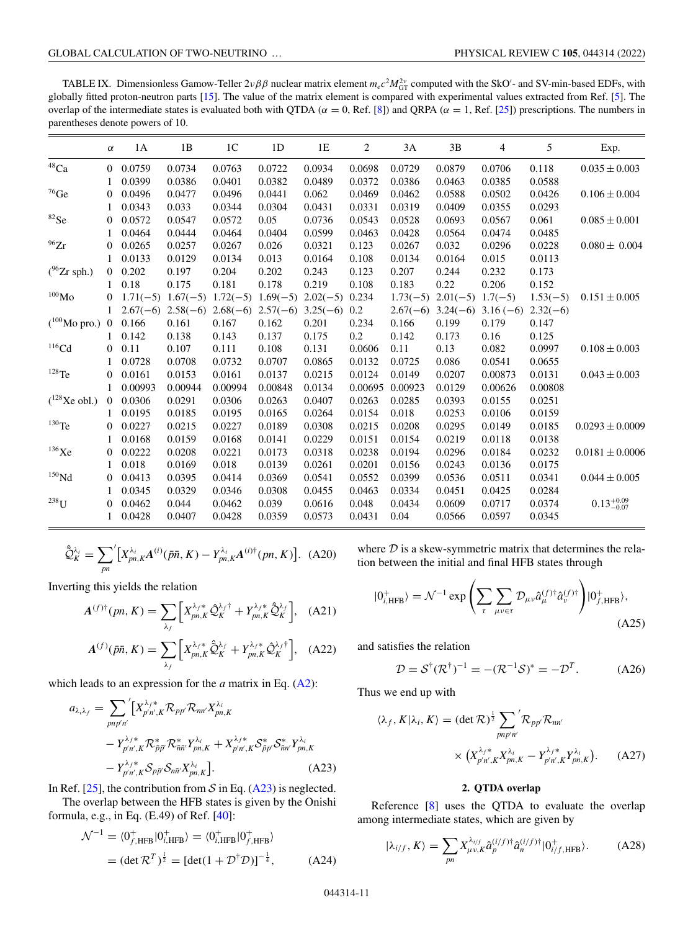<span id="page-10-0"></span>TABLE IX. Dimensionless Gamow-Teller  $2\nu\beta\beta$  nuclear matrix element  $m_ec^2M_{GT}^{2\nu}$  computed with the SkO'- and SV-min-based EDFs, with globally fitted proton-neutron parts [\[15\]](#page-12-0). The value of the matrix element is compared with experimental values extracted from Ref. [\[5\]](#page-12-0). The overlap of the intermediate states is evaluated both with QTDA ( $α = 0$ , Ref. [\[8\]](#page-12-0)) and QRPA ( $α = 1$ , Ref. [\[25\]](#page-13-0)) prescriptions. The numbers in parentheses denote powers of 10.

|                          | $\alpha$       | 1A         | 1B         | 1 <sup>C</sup> | 1D         | 1E                  | $\overline{c}$ | 3A         | 3B                 | 4                                | 5          | Exp.                   |
|--------------------------|----------------|------------|------------|----------------|------------|---------------------|----------------|------------|--------------------|----------------------------------|------------|------------------------|
| $^{48}\mathrm{Ca}$       | $\Omega$       | 0.0759     | 0.0734     | 0.0763         | 0.0722     | 0.0934              | 0.0698         | 0.0729     | 0.0879             | 0.0706                           | 0.118      | $0.035 \pm 0.003$      |
|                          |                | 0.0399     | 0.0386     | 0.0401         | 0.0382     | 0.0489              | 0.0372         | 0.0386     | 0.0463             | 0.0385                           | 0.0588     |                        |
| $^{76}$ Ge               | $\overline{0}$ | 0.0496     | 0.0477     | 0.0496         | 0.0441     | 0.062               | 0.0469         | 0.0462     | 0.0588             | 0.0502                           | 0.0426     | $0.106 \pm 0.004$      |
|                          |                | 0.0343     | 0.033      | 0.0344         | 0.0304     | 0.0431              | 0.0331         | 0.0319     | 0.0409             | 0.0355                           | 0.0293     |                        |
| ${}^{82}Se$              | $\Omega$       | 0.0572     | 0.0547     | 0.0572         | 0.05       | 0.0736              | 0.0543         | 0.0528     | 0.0693             | 0.0567                           | 0.061      | $0.085 \pm 0.001$      |
|                          |                | 0.0464     | 0.0444     | 0.0464         | 0.0404     | 0.0599              | 0.0463         | 0.0428     | 0.0564             | 0.0474                           | 0.0485     |                        |
| $^{96}\mathrm{Zr}$       | $\Omega$       | 0.0265     | 0.0257     | 0.0267         | 0.026      | 0.0321              | 0.123          | 0.0267     | 0.032              | 0.0296                           | 0.0228     | $0.080 \pm 0.004$      |
|                          | 1              | 0.0133     | 0.0129     | 0.0134         | 0.013      | 0.0164              | 0.108          | 0.0134     | 0.0164             | 0.015                            | 0.0113     |                        |
| $(^{96}Zr$ sph.)         | $\Omega$       | 0.202      | 0.197      | 0.204          | 0.202      | 0.243               | 0.123          | 0.207      | 0.244              | 0.232                            | 0.173      |                        |
|                          |                | 0.18       | 0.175      | 0.181          | 0.178      | 0.219               | 0.108          | 0.183      | 0.22               | 0.206                            | 0.152      |                        |
| $^{100}\rm{Mo}$          | $\Omega$       | $1.71(-5)$ | $1.67(-5)$ | $1.72(-5)$     | $1.69(-5)$ | $2.02(-5)$          | 0.234          | $1.73(-5)$ | $2.01(-5)$ 1.7(-5) |                                  | $1.53(-5)$ | $0.151 \pm 0.005$      |
|                          | 1              | $2.67(-6)$ | $2.58(-6)$ | $2.68(-6)$     |            | $2.57(-6)$ 3.25(-6) | 0.2            | $2.67(-6)$ |                    | $3.24(-6)$ $3.16(-6)$ $2.32(-6)$ |            |                        |
| $(^{100}\text{Mo}$ pro.) | $\overline{0}$ | 0.166      | 0.161      | 0.167          | 0.162      | 0.201               | 0.234          | 0.166      | 0.199              | 0.179                            | 0.147      |                        |
|                          |                | 0.142      | 0.138      | 0.143          | 0.137      | 0.175               | 0.2            | 0.142      | 0.173              | 0.16                             | 0.125      |                        |
| $116$ Cd                 | $\Omega$       | 0.11       | 0.107      | 0.111          | 0.108      | 0.131               | 0.0606         | 0.11       | 0.13               | 0.082                            | 0.0997     | $0.108 \pm 0.003$      |
|                          |                | 0.0728     | 0.0708     | 0.0732         | 0.0707     | 0.0865              | 0.0132         | 0.0725     | 0.086              | 0.0541                           | 0.0655     |                        |
| $128$ Te                 | $\overline{0}$ | 0.0161     | 0.0153     | 0.0161         | 0.0137     | 0.0215              | 0.0124         | 0.0149     | 0.0207             | 0.00873                          | 0.0131     | $0.043 \pm 0.003$      |
|                          |                | 0.00993    | 0.00944    | 0.00994        | 0.00848    | 0.0134              | 0.00695        | 0.00923    | 0.0129             | 0.00626                          | 0.00808    |                        |
| $(^{128}Xe$ obl.)        | $\Omega$       | 0.0306     | 0.0291     | 0.0306         | 0.0263     | 0.0407              | 0.0263         | 0.0285     | 0.0393             | 0.0155                           | 0.0251     |                        |
|                          |                | 0.0195     | 0.0185     | 0.0195         | 0.0165     | 0.0264              | 0.0154         | 0.018      | 0.0253             | 0.0106                           | 0.0159     |                        |
| $^{130}\mathrm{Te}$      | $\Omega$       | 0.0227     | 0.0215     | 0.0227         | 0.0189     | 0.0308              | 0.0215         | 0.0208     | 0.0295             | 0.0149                           | 0.0185     | $0.0293 \pm 0.0009$    |
|                          |                | 0.0168     | 0.0159     | 0.0168         | 0.0141     | 0.0229              | 0.0151         | 0.0154     | 0.0219             | 0.0118                           | 0.0138     |                        |
| $136$ Xe                 | $\Omega$       | 0.0222     | 0.0208     | 0.0221         | 0.0173     | 0.0318              | 0.0238         | 0.0194     | 0.0296             | 0.0184                           | 0.0232     | $0.0181 \pm 0.0006$    |
|                          |                | 0.018      | 0.0169     | 0.018          | 0.0139     | 0.0261              | 0.0201         | 0.0156     | 0.0243             | 0.0136                           | 0.0175     |                        |
| $^{150}\rm{Nd}$          | $\Omega$       | 0.0413     | 0.0395     | 0.0414         | 0.0369     | 0.0541              | 0.0552         | 0.0399     | 0.0536             | 0.0511                           | 0.0341     | $0.044 \pm 0.005$      |
|                          | 1              | 0.0345     | 0.0329     | 0.0346         | 0.0308     | 0.0455              | 0.0463         | 0.0334     | 0.0451             | 0.0425                           | 0.0284     |                        |
| $^{238}\mathrm{U}$       | $\Omega$       | 0.0462     | 0.044      | 0.0462         | 0.039      | 0.0616              | 0.048          | 0.0434     | 0.0609             | 0.0717                           | 0.0374     | $0.13_{-0.07}^{+0.09}$ |
|                          | 1              | 0.0428     | 0.0407     | 0.0428         | 0.0359     | 0.0573              | 0.0431         | 0.04       | 0.0566             | 0.0597                           | 0.0345     |                        |

$$
\hat{\mathcal{Q}}_K^{\lambda_i} = \sum_{pn} \left[ X_{pn,K}^{\lambda_i} A^{(i)}(\bar{p}\bar{n}, K) - Y_{pn,K}^{\lambda_i} A^{(i)\dagger}(pn, K) \right]. \tag{A20}
$$

Inverting this yields the relation

$$
A^{(f)\dagger}(pn, K) = \sum_{\lambda_f} \left[ X_{pn,K}^{\lambda_f *} \hat{Q}_K^{\lambda_f \dagger} + Y_{pn,K}^{\lambda_f *} \hat{Q}_K^{\lambda_f} \right], \quad \text{(A21)}
$$

$$
A^{(f)}(\bar{p}\bar{n}, K) = \sum_{\lambda_f} \left[ X_{pn,K}^{\lambda_f *} \hat{Q}_K^{\lambda_f} + Y_{pn,K}^{\lambda_f *} \hat{Q}_K^{\lambda_f \dagger} \right], \quad \text{(A22)}
$$

which leads to an expression for the *a* matrix in Eq. [\(A2\)](#page-9-0):

$$
a_{\lambda_i \lambda_f} = \sum_{pnp'n'} \left[ X_{p'n',K}^{\lambda_f *} \mathcal{R}_{pp'} \mathcal{R}_{nn'} X_{pn,K}^{\lambda_i} \right.- Y_{p'n',K}^{\lambda_f *} \mathcal{R}_{\bar{p}\bar{p}'}^* \mathcal{R}_{\bar{m}\bar{n}}^* Y_{pn,K}^{\lambda_i} + X_{p'n',K}^{\lambda_f *} \mathcal{S}_{\bar{p}p'}^* \mathcal{S}_{\bar{n}n'}^* Y_{pn,K}^{\lambda_i} - Y_{p'n',K}^{\lambda_f *} \mathcal{S}_{p\bar{p}'} \mathcal{S}_{n\bar{n}'} X_{pn,K}^{\lambda_i} \right].
$$
 (A23)

In Ref. [\[25\]](#page-13-0), the contribution from  $S$  in Eq. (A23) is neglected.

The overlap between the HFB states is given by the Onishi formula, e.g., in Eq. (E.49) of Ref. [\[40\]](#page-13-0):

$$
\mathcal{N}^{-1} = \langle 0_{f, \text{HFB}}^{+} | 0_{i, \text{HFB}}^{+} \rangle = \langle 0_{i, \text{HFB}}^{+} | 0_{f, \text{HFB}}^{+} \rangle
$$
  
=  $(\det \mathcal{R}^{T})^{\frac{1}{2}} = [\det(1 + \mathcal{D}^{\dagger} \mathcal{D})]^{-\frac{1}{4}},$  (A24)

where  $D$  is a skew-symmetric matrix that determines the relation between the initial and final HFB states through

$$
|0^{+}_{i,\text{HFB}}\rangle = \mathcal{N}^{-1} \exp\left(\sum_{\tau} \sum_{\mu\nu \in \tau} \mathcal{D}_{\mu\nu} \hat{a}_{\mu}^{(f)\dagger} \hat{a}_{\nu}^{(f)\dagger}\right) |0^{+}_{f,\text{HFB}}\rangle, \tag{A25}
$$

and satisfies the relation

$$
\mathcal{D} = \mathcal{S}^{\dagger}(\mathcal{R}^{\dagger})^{-1} = -(\mathcal{R}^{-1}\mathcal{S})^* = -\mathcal{D}^T.
$$
 (A26)

Thus we end up with

 $\langle$ 

$$
\lambda_f, K | \lambda_i, K \rangle = (\det \mathcal{R})^{\frac{1}{2}} \sum_{pnp'n'} \mathcal{R}_{pp'} \mathcal{R}_{nn'}
$$

$$
\times \left( X_{p'n',K}^{\lambda_f *} X_{pn,K}^{\lambda_i} - Y_{p'n',K}^{\lambda_f *} Y_{pn,K}^{\lambda_i} \right). \tag{A27}
$$

# **2. QTDA overlap**

Reference [\[8\]](#page-12-0) uses the QTDA to evaluate the overlap among intermediate states, which are given by

$$
|\lambda_{i/f}, K\rangle = \sum_{pn} X_{\mu\nu,K}^{\lambda_{i/f}} \hat{a}_p^{(i/f)\dagger} \hat{a}_n^{(i/f)\dagger} |0^+_{i/f,\text{HFB}}\rangle. \tag{A28}
$$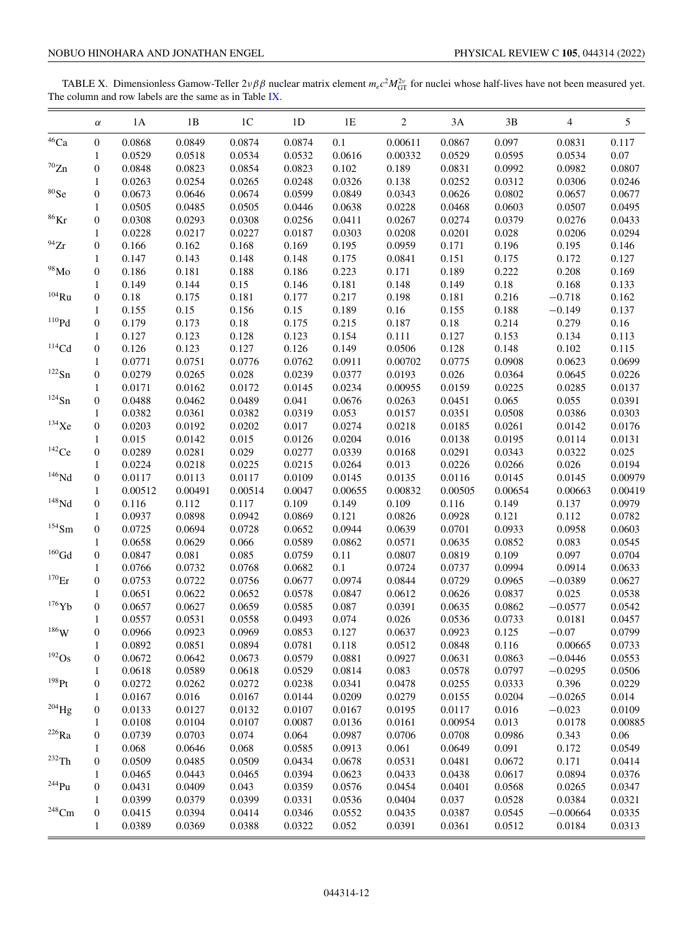<span id="page-11-0"></span>TABLE X. Dimensionless Gamow-Teller  $2\nu\beta\beta$  nuclear matrix element  $m_ec^2M_{GT}^{2\nu}$  for nuclei whose half-lives have not been measured yet. The column and row labels are the same as in Table [IX.](#page-10-0)

| $^{46}\mathrm{Ca}$<br>0.0868<br>0.0849<br>0.1<br>0.097<br>0<br>0.0874<br>0.0874<br>0.00611<br>0.0867<br>0.0831<br>0.117<br>0.0529<br>0.0518<br>0.0534<br>0.0532<br>0.0616<br>0.00332<br>0.0529<br>0.0595<br>0.0534<br>0.07<br>1<br>$\mathrm{^{70}Zn}$<br>0.0807<br>$\boldsymbol{0}$<br>0.0848<br>0.0823<br>0.0854<br>0.0823<br>0.102<br>0.189<br>0.0831<br>0.0992<br>0.0982<br>0.0254<br>0.0265<br>0.0326<br>0.138<br>0.0252<br>0.0312<br>0.0263<br>0.0248<br>0.0306<br>1<br>${}^{80}Se$<br>0.0646<br>0.0343<br>0<br>0.0673<br>0.0674<br>0.0599<br>0.0849<br>0.0626<br>0.0802<br>0.0657<br>0.0505<br>0.0485<br>0.0228<br>0.0505<br>0.0446<br>0.0638<br>0.0468<br>0.0603<br>0.0507<br>1<br>${}^{86}\mathrm{Kr}$<br>0.0293<br>0.0267<br>0.0379<br>0<br>0.0308<br>0.0308<br>0.0256<br>0.0411<br>0.0274<br>0.0276<br>0.0228<br>0.0217<br>0.0227<br>0.0187<br>0.0303<br>0.0208<br>0.0201<br>0.028<br>0.0206<br>1<br>$\boldsymbol{0}$<br>0.166<br>0.162<br>0.168<br>0.169<br>0.195<br>0.0959<br>0.171<br>0.196<br>0.195<br>0.146<br>0.143<br>0.148<br>0.148<br>0.175<br>0.0841<br>0.151<br>0.175<br>0.172<br>0.127<br>0.147<br>1<br>$98$ Mo<br>0.186<br>0.181<br>0.223<br>0.171<br>0.222<br>0.208<br>0.169<br>0<br>0.188<br>0.186<br>0.189<br>$0.18\,$<br>0.149<br>0.144<br>0.15<br>0.146<br>0.181<br>0.148<br>0.149<br>0.168<br>0.133<br>1<br>$^{104}\mathrm{Ru}$<br>0.18<br>0.175<br>0.181<br>0.217<br>0.198<br>0.181<br>0.216<br>0.162<br>0<br>0.177<br>$-0.718$<br>0.155<br>0.15<br>0.156<br>0.15<br>0.189<br>0.16<br>0.155<br>0.188<br>$-0.149$<br>0.137<br>1<br>110Pd<br>$\boldsymbol{0}$<br>$0.18\,$<br>0.215<br>0.179<br>0.173<br>0.175<br>0.187<br>0.18<br>0.214<br>0.279<br>0.16<br>0.127<br>0.123<br>0.128<br>0.123<br>0.154<br>0.111<br>0.127<br>0.153<br>0.134<br>0.113<br>$\mathbf{1}$<br>$114$ Cd<br>0.126<br>0.123<br>0.127<br>0.126<br>0.149<br>0.148<br>0.102<br>0.115<br>0<br>0.0506<br>0.128<br>0.0771<br>0.0751<br>0.0776<br>0.0762<br>0.0911<br>0.0775<br>0.0908<br>0.0623<br>0.00702<br>1<br>$^{122}\mathrm{Sn}$<br>$\boldsymbol{0}$<br>0.0279<br>0.0265<br>0.028<br>0.0239<br>0.0377<br>0.0193<br>0.026<br>0.0364<br>0.0645<br>0.0172<br>0.0171<br>0.0162<br>0.0145<br>0.0234<br>0.00955<br>0.0159<br>0.0225<br>0.0285<br>1<br>$124$ Sn<br>$\boldsymbol{0}$<br>0.0462<br>0.0489<br>0.0676<br>0.065<br>0.0488<br>0.041<br>0.0263<br>0.0451<br>0.055<br>0.0382<br>0.0361<br>0.0382<br>0.0319<br>0.053<br>0.0157<br>0.0351<br>0.0508<br>0.0386<br>1<br>$^{134}\mathrm{Xe}$<br>0.0203<br>0.0192<br>0.0202<br>0.017<br>0.0274<br>0.0218<br>0<br>0.0185<br>0.0261<br>0.0142<br>0.015<br>0.0142<br>0.015<br>0.0204<br>0.016<br>0.0195<br>0.0126<br>0.0138<br>0.0114<br>1<br>$142$ Ce<br>0.0289<br>0.0281<br>0.029<br>0.0339<br>0.0343<br>0.025<br>$\boldsymbol{0}$<br>0.0277<br>0.0168<br>0.0291<br>0.0322<br>0.0225<br>0.0224<br>0.0218<br>0.0215<br>0.0264<br>0.013<br>0.0226<br>0.0266<br>0.026<br>1<br>$146$ Nd<br>$\boldsymbol{0}$<br>0.0113<br>0.0117<br>0.0117<br>0.0109<br>0.0145<br>0.0135<br>0.0116<br>0.0145<br>0.0145<br>0.00491<br>$\mathbf{1}$<br>0.00512<br>0.00514<br>0.0047<br>0.00655<br>0.00832<br>0.00505<br>0.00654<br>0.00663<br>$\rm ^{148}Nd$<br>0.112<br>0.109<br>0.149<br>0.109<br>0<br>0.116<br>0.117<br>0.116<br>0.149<br>0.137<br>0.0898<br>0.0942<br>0.0869<br>0.121<br>0.0826<br>0.121<br>0.112<br>0.0937<br>0.0928<br>1<br>$^{154}\mathrm{Sm}$<br>$\boldsymbol{0}$<br>0.0725<br>0.0694<br>0.0728<br>0.0652<br>0.0944<br>0.0639<br>0.0701<br>0.0933<br>0.0958<br>0.0658<br>0.0629<br>0.066<br>0.0589<br>0.0862<br>0.0571<br>0.0635<br>0.0852<br>0.083<br>1<br>$\rm ^{160}Gd$<br>$\boldsymbol{0}$<br>0.081<br>0.085<br>0.0807<br>0.109<br>0.097<br>0.0847<br>0.0759<br>0.11<br>0.0819<br>0.0732<br>0.1<br>0.0724<br>0.0994<br>0.0914<br>$\mathbf{1}$<br>0.0766<br>0.0768<br>0.0682<br>0.0737<br>$^{170}\mathrm{Er}$<br>0.0722<br>0.0974<br>0.0844<br>0<br>0.0753<br>0.0756<br>0.0677<br>0.0729<br>0.0965<br>$-0.0389$<br>0.0622<br>0.0612<br>0.0837<br>0.025<br>0.0651<br>0.0652<br>0.0578<br>0.0847<br>0.0626<br>1<br>$176$ Yb<br>$\boldsymbol{0}$<br>0.0627<br>0.0659<br>0.087<br>0.0391<br>0.0635<br>$-0.0577$<br>0.0657<br>0.0585<br>0.0862<br>0.0557<br>0.0531<br>0.0558<br>0.0493<br>0.074<br>0.026<br>0.0536<br>0.0733<br>0.0181<br>1<br>$186$ W<br>$\boldsymbol{0}$<br>0.0853<br>0.0966<br>0.0923<br>0.0969<br>0.127<br>0.0637<br>0.0923<br>0.125<br>$-0.07$<br>0.0894<br>$\mathbf{1}$<br>0.0892<br>0.0851<br>0.0781<br>0.118<br>0.0512<br>0.0848<br>0.116<br>0.00665<br>$192$ Os<br>0.0672<br>0.0642<br>0.0673<br>0.0927<br>$\boldsymbol{0}$<br>0.0579<br>0.0881<br>0.0631<br>0.0863<br>$-0.0446$<br>0.083<br>0.0797<br>0.0618<br>0.0589<br>0.0618<br>0.0529<br>0.0814<br>0.0578<br>$-0.0295$<br>$\mathbf{1}$<br>$^{198}\mathrm{Pt}$<br>$\boldsymbol{0}$<br>0.0272<br>0.0262<br>0.0272<br>0.0238<br>0.0341<br>0.0478<br>0.0255<br>0.0333<br>0.396<br>0.0167<br>0.016<br>0.0167<br>0.0144<br>0.0209<br>0.0279<br>0.0155<br>0.0204<br>$-0.0265$<br>0.014<br>$\mathbf{1}$<br>$^{204}$ Hg<br>0.0127<br>$\boldsymbol{0}$<br>0.0133<br>0.0132<br>0.0107<br>0.0167<br>0.0195<br>0.0117<br>0.016<br>$-0.023$<br>0.0108<br>0.0104<br>0.0161<br>0.013<br>0.0107<br>0.0087<br>0.0136<br>0.00954<br>0.0178<br>$\mathbf{1}$<br>$^{226}\mathrm{Ra}$<br>0.0739<br>0.0703<br>0.074<br>0.064<br>0.0706<br>0.06<br>$\boldsymbol{0}$<br>0.0987<br>0.0708<br>0.0986<br>0.343<br>0.0646<br>0.068<br>0.068<br>0.0585<br>0.0913<br>0.061<br>0.0649<br>0.091<br>0.172<br>$\mathbf{1}$<br>$^{232}\mathrm{Th}$<br>$\boldsymbol{0}$<br>0.0509<br>0.0485<br>0.0509<br>0.0678<br>0.0531<br>0.0481<br>0.0672<br>0.171<br>0.0434<br>0.0443<br>0.0465<br>0.0465<br>0.0394<br>0.0623<br>0.0433<br>0.0438<br>0.0617<br>0.0894<br>$\mathbf{1}$<br>$^{244}Pu$<br>0.0409<br>0.043<br>0<br>0.0431<br>0.0359<br>0.0576<br>0.0454<br>0.0401<br>0.0568<br>0.0265<br>0.0399<br>0.0379<br>0.0399<br>0.0404<br>0.0384<br>$\mathbf{1}$<br>0.0331<br>0.0536<br>0.037<br>0.0528<br>$\mathrm{^{248}Cm}$<br>$\boldsymbol{0}$<br>0.0415<br>0.0394<br>0.0414<br>0.0552<br>0.0435<br>0.0387<br>0.0545<br>$-0.00664$<br>0.0346<br>$\mathbf{1}$<br>0.0389<br>0.0369<br>0.0388<br>0.0322<br>0.052<br>0.0391<br>0.0361<br>0.0512<br>0.0184 | $\alpha$ | 1A | 1B | 1 <sup>C</sup> | 1 <sub>D</sub> | 1E | 2 | 3A | 3B | 4 | 5       |
|--------------------------------------------------------------------------------------------------------------------------------------------------------------------------------------------------------------------------------------------------------------------------------------------------------------------------------------------------------------------------------------------------------------------------------------------------------------------------------------------------------------------------------------------------------------------------------------------------------------------------------------------------------------------------------------------------------------------------------------------------------------------------------------------------------------------------------------------------------------------------------------------------------------------------------------------------------------------------------------------------------------------------------------------------------------------------------------------------------------------------------------------------------------------------------------------------------------------------------------------------------------------------------------------------------------------------------------------------------------------------------------------------------------------------------------------------------------------------------------------------------------------------------------------------------------------------------------------------------------------------------------------------------------------------------------------------------------------------------------------------------------------------------------------------------------------------------------------------------------------------------------------------------------------------------------------------------------------------------------------------------------------------------------------------------------------------------------------------------------------------------------------------------------------------------------------------------------------------------------------------------------------------------------------------------------------------------------------------------------------------------------------------------------------------------------------------------------------------------------------------------------------------------------------------------------------------------------------------------------------------------------------------------------------------------------------------------------------------------------------------------------------------------------------------------------------------------------------------------------------------------------------------------------------------------------------------------------------------------------------------------------------------------------------------------------------------------------------------------------------------------------------------------------------------------------------------------------------------------------------------------------------------------------------------------------------------------------------------------------------------------------------------------------------------------------------------------------------------------------------------------------------------------------------------------------------------------------------------------------------------------------------------------------------------------------------------------------------------------------------------------------------------------------------------------------------------------------------------------------------------------------------------------------------------------------------------------------------------------------------------------------------------------------------------------------------------------------------------------------------------------------------------------------------------------------------------------------------------------------------------------------------------------------------------------------------------------------------------------------------------------------------------------------------------------------------------------------------------------------------------------------------------------------------------------------------------------------------------------------------------------------------------------------------------------------------------------------------------------------------------------------------------------------------------------------------------------------------------------------------------------------------------------------------------------------------------------------------------------------------------------------------------------------------------------------------------------------------------------------------------------------------------------------------------------------------------------------------------------------------------------------------------------------------------------------------------------------------------------------------------------------------------------------------------------------------------------------------------------------------------------------------------------------------------------------------------------------------------------------------------------------------------------------------------------------------------------------------------------------------------------------------------------------------------------------------------------------------------------------------------------------------------------------------------------------------------------------------------------------------------------------------------------------------------------------------------------------------------------------------------------------------------------------------------------------------------------------------------------------|----------|----|----|----------------|----------------|----|---|----|----|---|---------|
|                                                                                                                                                                                                                                                                                                                                                                                                                                                                                                                                                                                                                                                                                                                                                                                                                                                                                                                                                                                                                                                                                                                                                                                                                                                                                                                                                                                                                                                                                                                                                                                                                                                                                                                                                                                                                                                                                                                                                                                                                                                                                                                                                                                                                                                                                                                                                                                                                                                                                                                                                                                                                                                                                                                                                                                                                                                                                                                                                                                                                                                                                                                                                                                                                                                                                                                                                                                                                                                                                                                                                                                                                                                                                                                                                                                                                                                                                                                                                                                                                                                                                                                                                                                                                                                                                                                                                                                                                                                                                                                                                                                                                                                                                                                                                                                                                                                                                                                                                                                                                                                                                                                                                                                                                                                                                                                                                                                                                                                                                                                                                                                                                                                                                                                                                                                                                                                                                                                                                                                                                                                                                                                                                                                                                                      |          |    |    |                |                |    |   |    |    |   |         |
| $^{94}{\rm Zr}$                                                                                                                                                                                                                                                                                                                                                                                                                                                                                                                                                                                                                                                                                                                                                                                                                                                                                                                                                                                                                                                                                                                                                                                                                                                                                                                                                                                                                                                                                                                                                                                                                                                                                                                                                                                                                                                                                                                                                                                                                                                                                                                                                                                                                                                                                                                                                                                                                                                                                                                                                                                                                                                                                                                                                                                                                                                                                                                                                                                                                                                                                                                                                                                                                                                                                                                                                                                                                                                                                                                                                                                                                                                                                                                                                                                                                                                                                                                                                                                                                                                                                                                                                                                                                                                                                                                                                                                                                                                                                                                                                                                                                                                                                                                                                                                                                                                                                                                                                                                                                                                                                                                                                                                                                                                                                                                                                                                                                                                                                                                                                                                                                                                                                                                                                                                                                                                                                                                                                                                                                                                                                                                                                                                                                      |          |    |    |                |                |    |   |    |    |   |         |
|                                                                                                                                                                                                                                                                                                                                                                                                                                                                                                                                                                                                                                                                                                                                                                                                                                                                                                                                                                                                                                                                                                                                                                                                                                                                                                                                                                                                                                                                                                                                                                                                                                                                                                                                                                                                                                                                                                                                                                                                                                                                                                                                                                                                                                                                                                                                                                                                                                                                                                                                                                                                                                                                                                                                                                                                                                                                                                                                                                                                                                                                                                                                                                                                                                                                                                                                                                                                                                                                                                                                                                                                                                                                                                                                                                                                                                                                                                                                                                                                                                                                                                                                                                                                                                                                                                                                                                                                                                                                                                                                                                                                                                                                                                                                                                                                                                                                                                                                                                                                                                                                                                                                                                                                                                                                                                                                                                                                                                                                                                                                                                                                                                                                                                                                                                                                                                                                                                                                                                                                                                                                                                                                                                                                                                      |          |    |    |                |                |    |   |    |    |   |         |
|                                                                                                                                                                                                                                                                                                                                                                                                                                                                                                                                                                                                                                                                                                                                                                                                                                                                                                                                                                                                                                                                                                                                                                                                                                                                                                                                                                                                                                                                                                                                                                                                                                                                                                                                                                                                                                                                                                                                                                                                                                                                                                                                                                                                                                                                                                                                                                                                                                                                                                                                                                                                                                                                                                                                                                                                                                                                                                                                                                                                                                                                                                                                                                                                                                                                                                                                                                                                                                                                                                                                                                                                                                                                                                                                                                                                                                                                                                                                                                                                                                                                                                                                                                                                                                                                                                                                                                                                                                                                                                                                                                                                                                                                                                                                                                                                                                                                                                                                                                                                                                                                                                                                                                                                                                                                                                                                                                                                                                                                                                                                                                                                                                                                                                                                                                                                                                                                                                                                                                                                                                                                                                                                                                                                                                      |          |    |    |                |                |    |   |    |    |   | 0.0246  |
|                                                                                                                                                                                                                                                                                                                                                                                                                                                                                                                                                                                                                                                                                                                                                                                                                                                                                                                                                                                                                                                                                                                                                                                                                                                                                                                                                                                                                                                                                                                                                                                                                                                                                                                                                                                                                                                                                                                                                                                                                                                                                                                                                                                                                                                                                                                                                                                                                                                                                                                                                                                                                                                                                                                                                                                                                                                                                                                                                                                                                                                                                                                                                                                                                                                                                                                                                                                                                                                                                                                                                                                                                                                                                                                                                                                                                                                                                                                                                                                                                                                                                                                                                                                                                                                                                                                                                                                                                                                                                                                                                                                                                                                                                                                                                                                                                                                                                                                                                                                                                                                                                                                                                                                                                                                                                                                                                                                                                                                                                                                                                                                                                                                                                                                                                                                                                                                                                                                                                                                                                                                                                                                                                                                                                                      |          |    |    |                |                |    |   |    |    |   | 0.0677  |
|                                                                                                                                                                                                                                                                                                                                                                                                                                                                                                                                                                                                                                                                                                                                                                                                                                                                                                                                                                                                                                                                                                                                                                                                                                                                                                                                                                                                                                                                                                                                                                                                                                                                                                                                                                                                                                                                                                                                                                                                                                                                                                                                                                                                                                                                                                                                                                                                                                                                                                                                                                                                                                                                                                                                                                                                                                                                                                                                                                                                                                                                                                                                                                                                                                                                                                                                                                                                                                                                                                                                                                                                                                                                                                                                                                                                                                                                                                                                                                                                                                                                                                                                                                                                                                                                                                                                                                                                                                                                                                                                                                                                                                                                                                                                                                                                                                                                                                                                                                                                                                                                                                                                                                                                                                                                                                                                                                                                                                                                                                                                                                                                                                                                                                                                                                                                                                                                                                                                                                                                                                                                                                                                                                                                                                      |          |    |    |                |                |    |   |    |    |   | 0.0495  |
|                                                                                                                                                                                                                                                                                                                                                                                                                                                                                                                                                                                                                                                                                                                                                                                                                                                                                                                                                                                                                                                                                                                                                                                                                                                                                                                                                                                                                                                                                                                                                                                                                                                                                                                                                                                                                                                                                                                                                                                                                                                                                                                                                                                                                                                                                                                                                                                                                                                                                                                                                                                                                                                                                                                                                                                                                                                                                                                                                                                                                                                                                                                                                                                                                                                                                                                                                                                                                                                                                                                                                                                                                                                                                                                                                                                                                                                                                                                                                                                                                                                                                                                                                                                                                                                                                                                                                                                                                                                                                                                                                                                                                                                                                                                                                                                                                                                                                                                                                                                                                                                                                                                                                                                                                                                                                                                                                                                                                                                                                                                                                                                                                                                                                                                                                                                                                                                                                                                                                                                                                                                                                                                                                                                                                                      |          |    |    |                |                |    |   |    |    |   | 0.0433  |
|                                                                                                                                                                                                                                                                                                                                                                                                                                                                                                                                                                                                                                                                                                                                                                                                                                                                                                                                                                                                                                                                                                                                                                                                                                                                                                                                                                                                                                                                                                                                                                                                                                                                                                                                                                                                                                                                                                                                                                                                                                                                                                                                                                                                                                                                                                                                                                                                                                                                                                                                                                                                                                                                                                                                                                                                                                                                                                                                                                                                                                                                                                                                                                                                                                                                                                                                                                                                                                                                                                                                                                                                                                                                                                                                                                                                                                                                                                                                                                                                                                                                                                                                                                                                                                                                                                                                                                                                                                                                                                                                                                                                                                                                                                                                                                                                                                                                                                                                                                                                                                                                                                                                                                                                                                                                                                                                                                                                                                                                                                                                                                                                                                                                                                                                                                                                                                                                                                                                                                                                                                                                                                                                                                                                                                      |          |    |    |                |                |    |   |    |    |   | 0.0294  |
|                                                                                                                                                                                                                                                                                                                                                                                                                                                                                                                                                                                                                                                                                                                                                                                                                                                                                                                                                                                                                                                                                                                                                                                                                                                                                                                                                                                                                                                                                                                                                                                                                                                                                                                                                                                                                                                                                                                                                                                                                                                                                                                                                                                                                                                                                                                                                                                                                                                                                                                                                                                                                                                                                                                                                                                                                                                                                                                                                                                                                                                                                                                                                                                                                                                                                                                                                                                                                                                                                                                                                                                                                                                                                                                                                                                                                                                                                                                                                                                                                                                                                                                                                                                                                                                                                                                                                                                                                                                                                                                                                                                                                                                                                                                                                                                                                                                                                                                                                                                                                                                                                                                                                                                                                                                                                                                                                                                                                                                                                                                                                                                                                                                                                                                                                                                                                                                                                                                                                                                                                                                                                                                                                                                                                                      |          |    |    |                |                |    |   |    |    |   |         |
|                                                                                                                                                                                                                                                                                                                                                                                                                                                                                                                                                                                                                                                                                                                                                                                                                                                                                                                                                                                                                                                                                                                                                                                                                                                                                                                                                                                                                                                                                                                                                                                                                                                                                                                                                                                                                                                                                                                                                                                                                                                                                                                                                                                                                                                                                                                                                                                                                                                                                                                                                                                                                                                                                                                                                                                                                                                                                                                                                                                                                                                                                                                                                                                                                                                                                                                                                                                                                                                                                                                                                                                                                                                                                                                                                                                                                                                                                                                                                                                                                                                                                                                                                                                                                                                                                                                                                                                                                                                                                                                                                                                                                                                                                                                                                                                                                                                                                                                                                                                                                                                                                                                                                                                                                                                                                                                                                                                                                                                                                                                                                                                                                                                                                                                                                                                                                                                                                                                                                                                                                                                                                                                                                                                                                                      |          |    |    |                |                |    |   |    |    |   |         |
|                                                                                                                                                                                                                                                                                                                                                                                                                                                                                                                                                                                                                                                                                                                                                                                                                                                                                                                                                                                                                                                                                                                                                                                                                                                                                                                                                                                                                                                                                                                                                                                                                                                                                                                                                                                                                                                                                                                                                                                                                                                                                                                                                                                                                                                                                                                                                                                                                                                                                                                                                                                                                                                                                                                                                                                                                                                                                                                                                                                                                                                                                                                                                                                                                                                                                                                                                                                                                                                                                                                                                                                                                                                                                                                                                                                                                                                                                                                                                                                                                                                                                                                                                                                                                                                                                                                                                                                                                                                                                                                                                                                                                                                                                                                                                                                                                                                                                                                                                                                                                                                                                                                                                                                                                                                                                                                                                                                                                                                                                                                                                                                                                                                                                                                                                                                                                                                                                                                                                                                                                                                                                                                                                                                                                                      |          |    |    |                |                |    |   |    |    |   |         |
|                                                                                                                                                                                                                                                                                                                                                                                                                                                                                                                                                                                                                                                                                                                                                                                                                                                                                                                                                                                                                                                                                                                                                                                                                                                                                                                                                                                                                                                                                                                                                                                                                                                                                                                                                                                                                                                                                                                                                                                                                                                                                                                                                                                                                                                                                                                                                                                                                                                                                                                                                                                                                                                                                                                                                                                                                                                                                                                                                                                                                                                                                                                                                                                                                                                                                                                                                                                                                                                                                                                                                                                                                                                                                                                                                                                                                                                                                                                                                                                                                                                                                                                                                                                                                                                                                                                                                                                                                                                                                                                                                                                                                                                                                                                                                                                                                                                                                                                                                                                                                                                                                                                                                                                                                                                                                                                                                                                                                                                                                                                                                                                                                                                                                                                                                                                                                                                                                                                                                                                                                                                                                                                                                                                                                                      |          |    |    |                |                |    |   |    |    |   |         |
|                                                                                                                                                                                                                                                                                                                                                                                                                                                                                                                                                                                                                                                                                                                                                                                                                                                                                                                                                                                                                                                                                                                                                                                                                                                                                                                                                                                                                                                                                                                                                                                                                                                                                                                                                                                                                                                                                                                                                                                                                                                                                                                                                                                                                                                                                                                                                                                                                                                                                                                                                                                                                                                                                                                                                                                                                                                                                                                                                                                                                                                                                                                                                                                                                                                                                                                                                                                                                                                                                                                                                                                                                                                                                                                                                                                                                                                                                                                                                                                                                                                                                                                                                                                                                                                                                                                                                                                                                                                                                                                                                                                                                                                                                                                                                                                                                                                                                                                                                                                                                                                                                                                                                                                                                                                                                                                                                                                                                                                                                                                                                                                                                                                                                                                                                                                                                                                                                                                                                                                                                                                                                                                                                                                                                                      |          |    |    |                |                |    |   |    |    |   |         |
|                                                                                                                                                                                                                                                                                                                                                                                                                                                                                                                                                                                                                                                                                                                                                                                                                                                                                                                                                                                                                                                                                                                                                                                                                                                                                                                                                                                                                                                                                                                                                                                                                                                                                                                                                                                                                                                                                                                                                                                                                                                                                                                                                                                                                                                                                                                                                                                                                                                                                                                                                                                                                                                                                                                                                                                                                                                                                                                                                                                                                                                                                                                                                                                                                                                                                                                                                                                                                                                                                                                                                                                                                                                                                                                                                                                                                                                                                                                                                                                                                                                                                                                                                                                                                                                                                                                                                                                                                                                                                                                                                                                                                                                                                                                                                                                                                                                                                                                                                                                                                                                                                                                                                                                                                                                                                                                                                                                                                                                                                                                                                                                                                                                                                                                                                                                                                                                                                                                                                                                                                                                                                                                                                                                                                                      |          |    |    |                |                |    |   |    |    |   |         |
|                                                                                                                                                                                                                                                                                                                                                                                                                                                                                                                                                                                                                                                                                                                                                                                                                                                                                                                                                                                                                                                                                                                                                                                                                                                                                                                                                                                                                                                                                                                                                                                                                                                                                                                                                                                                                                                                                                                                                                                                                                                                                                                                                                                                                                                                                                                                                                                                                                                                                                                                                                                                                                                                                                                                                                                                                                                                                                                                                                                                                                                                                                                                                                                                                                                                                                                                                                                                                                                                                                                                                                                                                                                                                                                                                                                                                                                                                                                                                                                                                                                                                                                                                                                                                                                                                                                                                                                                                                                                                                                                                                                                                                                                                                                                                                                                                                                                                                                                                                                                                                                                                                                                                                                                                                                                                                                                                                                                                                                                                                                                                                                                                                                                                                                                                                                                                                                                                                                                                                                                                                                                                                                                                                                                                                      |          |    |    |                |                |    |   |    |    |   |         |
|                                                                                                                                                                                                                                                                                                                                                                                                                                                                                                                                                                                                                                                                                                                                                                                                                                                                                                                                                                                                                                                                                                                                                                                                                                                                                                                                                                                                                                                                                                                                                                                                                                                                                                                                                                                                                                                                                                                                                                                                                                                                                                                                                                                                                                                                                                                                                                                                                                                                                                                                                                                                                                                                                                                                                                                                                                                                                                                                                                                                                                                                                                                                                                                                                                                                                                                                                                                                                                                                                                                                                                                                                                                                                                                                                                                                                                                                                                                                                                                                                                                                                                                                                                                                                                                                                                                                                                                                                                                                                                                                                                                                                                                                                                                                                                                                                                                                                                                                                                                                                                                                                                                                                                                                                                                                                                                                                                                                                                                                                                                                                                                                                                                                                                                                                                                                                                                                                                                                                                                                                                                                                                                                                                                                                                      |          |    |    |                |                |    |   |    |    |   |         |
|                                                                                                                                                                                                                                                                                                                                                                                                                                                                                                                                                                                                                                                                                                                                                                                                                                                                                                                                                                                                                                                                                                                                                                                                                                                                                                                                                                                                                                                                                                                                                                                                                                                                                                                                                                                                                                                                                                                                                                                                                                                                                                                                                                                                                                                                                                                                                                                                                                                                                                                                                                                                                                                                                                                                                                                                                                                                                                                                                                                                                                                                                                                                                                                                                                                                                                                                                                                                                                                                                                                                                                                                                                                                                                                                                                                                                                                                                                                                                                                                                                                                                                                                                                                                                                                                                                                                                                                                                                                                                                                                                                                                                                                                                                                                                                                                                                                                                                                                                                                                                                                                                                                                                                                                                                                                                                                                                                                                                                                                                                                                                                                                                                                                                                                                                                                                                                                                                                                                                                                                                                                                                                                                                                                                                                      |          |    |    |                |                |    |   |    |    |   |         |
|                                                                                                                                                                                                                                                                                                                                                                                                                                                                                                                                                                                                                                                                                                                                                                                                                                                                                                                                                                                                                                                                                                                                                                                                                                                                                                                                                                                                                                                                                                                                                                                                                                                                                                                                                                                                                                                                                                                                                                                                                                                                                                                                                                                                                                                                                                                                                                                                                                                                                                                                                                                                                                                                                                                                                                                                                                                                                                                                                                                                                                                                                                                                                                                                                                                                                                                                                                                                                                                                                                                                                                                                                                                                                                                                                                                                                                                                                                                                                                                                                                                                                                                                                                                                                                                                                                                                                                                                                                                                                                                                                                                                                                                                                                                                                                                                                                                                                                                                                                                                                                                                                                                                                                                                                                                                                                                                                                                                                                                                                                                                                                                                                                                                                                                                                                                                                                                                                                                                                                                                                                                                                                                                                                                                                                      |          |    |    |                |                |    |   |    |    |   | 0.0699  |
|                                                                                                                                                                                                                                                                                                                                                                                                                                                                                                                                                                                                                                                                                                                                                                                                                                                                                                                                                                                                                                                                                                                                                                                                                                                                                                                                                                                                                                                                                                                                                                                                                                                                                                                                                                                                                                                                                                                                                                                                                                                                                                                                                                                                                                                                                                                                                                                                                                                                                                                                                                                                                                                                                                                                                                                                                                                                                                                                                                                                                                                                                                                                                                                                                                                                                                                                                                                                                                                                                                                                                                                                                                                                                                                                                                                                                                                                                                                                                                                                                                                                                                                                                                                                                                                                                                                                                                                                                                                                                                                                                                                                                                                                                                                                                                                                                                                                                                                                                                                                                                                                                                                                                                                                                                                                                                                                                                                                                                                                                                                                                                                                                                                                                                                                                                                                                                                                                                                                                                                                                                                                                                                                                                                                                                      |          |    |    |                |                |    |   |    |    |   | 0.0226  |
|                                                                                                                                                                                                                                                                                                                                                                                                                                                                                                                                                                                                                                                                                                                                                                                                                                                                                                                                                                                                                                                                                                                                                                                                                                                                                                                                                                                                                                                                                                                                                                                                                                                                                                                                                                                                                                                                                                                                                                                                                                                                                                                                                                                                                                                                                                                                                                                                                                                                                                                                                                                                                                                                                                                                                                                                                                                                                                                                                                                                                                                                                                                                                                                                                                                                                                                                                                                                                                                                                                                                                                                                                                                                                                                                                                                                                                                                                                                                                                                                                                                                                                                                                                                                                                                                                                                                                                                                                                                                                                                                                                                                                                                                                                                                                                                                                                                                                                                                                                                                                                                                                                                                                                                                                                                                                                                                                                                                                                                                                                                                                                                                                                                                                                                                                                                                                                                                                                                                                                                                                                                                                                                                                                                                                                      |          |    |    |                |                |    |   |    |    |   | 0.0137  |
|                                                                                                                                                                                                                                                                                                                                                                                                                                                                                                                                                                                                                                                                                                                                                                                                                                                                                                                                                                                                                                                                                                                                                                                                                                                                                                                                                                                                                                                                                                                                                                                                                                                                                                                                                                                                                                                                                                                                                                                                                                                                                                                                                                                                                                                                                                                                                                                                                                                                                                                                                                                                                                                                                                                                                                                                                                                                                                                                                                                                                                                                                                                                                                                                                                                                                                                                                                                                                                                                                                                                                                                                                                                                                                                                                                                                                                                                                                                                                                                                                                                                                                                                                                                                                                                                                                                                                                                                                                                                                                                                                                                                                                                                                                                                                                                                                                                                                                                                                                                                                                                                                                                                                                                                                                                                                                                                                                                                                                                                                                                                                                                                                                                                                                                                                                                                                                                                                                                                                                                                                                                                                                                                                                                                                                      |          |    |    |                |                |    |   |    |    |   | 0.0391  |
|                                                                                                                                                                                                                                                                                                                                                                                                                                                                                                                                                                                                                                                                                                                                                                                                                                                                                                                                                                                                                                                                                                                                                                                                                                                                                                                                                                                                                                                                                                                                                                                                                                                                                                                                                                                                                                                                                                                                                                                                                                                                                                                                                                                                                                                                                                                                                                                                                                                                                                                                                                                                                                                                                                                                                                                                                                                                                                                                                                                                                                                                                                                                                                                                                                                                                                                                                                                                                                                                                                                                                                                                                                                                                                                                                                                                                                                                                                                                                                                                                                                                                                                                                                                                                                                                                                                                                                                                                                                                                                                                                                                                                                                                                                                                                                                                                                                                                                                                                                                                                                                                                                                                                                                                                                                                                                                                                                                                                                                                                                                                                                                                                                                                                                                                                                                                                                                                                                                                                                                                                                                                                                                                                                                                                                      |          |    |    |                |                |    |   |    |    |   | 0.0303  |
|                                                                                                                                                                                                                                                                                                                                                                                                                                                                                                                                                                                                                                                                                                                                                                                                                                                                                                                                                                                                                                                                                                                                                                                                                                                                                                                                                                                                                                                                                                                                                                                                                                                                                                                                                                                                                                                                                                                                                                                                                                                                                                                                                                                                                                                                                                                                                                                                                                                                                                                                                                                                                                                                                                                                                                                                                                                                                                                                                                                                                                                                                                                                                                                                                                                                                                                                                                                                                                                                                                                                                                                                                                                                                                                                                                                                                                                                                                                                                                                                                                                                                                                                                                                                                                                                                                                                                                                                                                                                                                                                                                                                                                                                                                                                                                                                                                                                                                                                                                                                                                                                                                                                                                                                                                                                                                                                                                                                                                                                                                                                                                                                                                                                                                                                                                                                                                                                                                                                                                                                                                                                                                                                                                                                                                      |          |    |    |                |                |    |   |    |    |   | 0.0176  |
|                                                                                                                                                                                                                                                                                                                                                                                                                                                                                                                                                                                                                                                                                                                                                                                                                                                                                                                                                                                                                                                                                                                                                                                                                                                                                                                                                                                                                                                                                                                                                                                                                                                                                                                                                                                                                                                                                                                                                                                                                                                                                                                                                                                                                                                                                                                                                                                                                                                                                                                                                                                                                                                                                                                                                                                                                                                                                                                                                                                                                                                                                                                                                                                                                                                                                                                                                                                                                                                                                                                                                                                                                                                                                                                                                                                                                                                                                                                                                                                                                                                                                                                                                                                                                                                                                                                                                                                                                                                                                                                                                                                                                                                                                                                                                                                                                                                                                                                                                                                                                                                                                                                                                                                                                                                                                                                                                                                                                                                                                                                                                                                                                                                                                                                                                                                                                                                                                                                                                                                                                                                                                                                                                                                                                                      |          |    |    |                |                |    |   |    |    |   | 0.0131  |
|                                                                                                                                                                                                                                                                                                                                                                                                                                                                                                                                                                                                                                                                                                                                                                                                                                                                                                                                                                                                                                                                                                                                                                                                                                                                                                                                                                                                                                                                                                                                                                                                                                                                                                                                                                                                                                                                                                                                                                                                                                                                                                                                                                                                                                                                                                                                                                                                                                                                                                                                                                                                                                                                                                                                                                                                                                                                                                                                                                                                                                                                                                                                                                                                                                                                                                                                                                                                                                                                                                                                                                                                                                                                                                                                                                                                                                                                                                                                                                                                                                                                                                                                                                                                                                                                                                                                                                                                                                                                                                                                                                                                                                                                                                                                                                                                                                                                                                                                                                                                                                                                                                                                                                                                                                                                                                                                                                                                                                                                                                                                                                                                                                                                                                                                                                                                                                                                                                                                                                                                                                                                                                                                                                                                                                      |          |    |    |                |                |    |   |    |    |   |         |
|                                                                                                                                                                                                                                                                                                                                                                                                                                                                                                                                                                                                                                                                                                                                                                                                                                                                                                                                                                                                                                                                                                                                                                                                                                                                                                                                                                                                                                                                                                                                                                                                                                                                                                                                                                                                                                                                                                                                                                                                                                                                                                                                                                                                                                                                                                                                                                                                                                                                                                                                                                                                                                                                                                                                                                                                                                                                                                                                                                                                                                                                                                                                                                                                                                                                                                                                                                                                                                                                                                                                                                                                                                                                                                                                                                                                                                                                                                                                                                                                                                                                                                                                                                                                                                                                                                                                                                                                                                                                                                                                                                                                                                                                                                                                                                                                                                                                                                                                                                                                                                                                                                                                                                                                                                                                                                                                                                                                                                                                                                                                                                                                                                                                                                                                                                                                                                                                                                                                                                                                                                                                                                                                                                                                                                      |          |    |    |                |                |    |   |    |    |   | 0.0194  |
|                                                                                                                                                                                                                                                                                                                                                                                                                                                                                                                                                                                                                                                                                                                                                                                                                                                                                                                                                                                                                                                                                                                                                                                                                                                                                                                                                                                                                                                                                                                                                                                                                                                                                                                                                                                                                                                                                                                                                                                                                                                                                                                                                                                                                                                                                                                                                                                                                                                                                                                                                                                                                                                                                                                                                                                                                                                                                                                                                                                                                                                                                                                                                                                                                                                                                                                                                                                                                                                                                                                                                                                                                                                                                                                                                                                                                                                                                                                                                                                                                                                                                                                                                                                                                                                                                                                                                                                                                                                                                                                                                                                                                                                                                                                                                                                                                                                                                                                                                                                                                                                                                                                                                                                                                                                                                                                                                                                                                                                                                                                                                                                                                                                                                                                                                                                                                                                                                                                                                                                                                                                                                                                                                                                                                                      |          |    |    |                |                |    |   |    |    |   | 0.00979 |
|                                                                                                                                                                                                                                                                                                                                                                                                                                                                                                                                                                                                                                                                                                                                                                                                                                                                                                                                                                                                                                                                                                                                                                                                                                                                                                                                                                                                                                                                                                                                                                                                                                                                                                                                                                                                                                                                                                                                                                                                                                                                                                                                                                                                                                                                                                                                                                                                                                                                                                                                                                                                                                                                                                                                                                                                                                                                                                                                                                                                                                                                                                                                                                                                                                                                                                                                                                                                                                                                                                                                                                                                                                                                                                                                                                                                                                                                                                                                                                                                                                                                                                                                                                                                                                                                                                                                                                                                                                                                                                                                                                                                                                                                                                                                                                                                                                                                                                                                                                                                                                                                                                                                                                                                                                                                                                                                                                                                                                                                                                                                                                                                                                                                                                                                                                                                                                                                                                                                                                                                                                                                                                                                                                                                                                      |          |    |    |                |                |    |   |    |    |   | 0.00419 |
|                                                                                                                                                                                                                                                                                                                                                                                                                                                                                                                                                                                                                                                                                                                                                                                                                                                                                                                                                                                                                                                                                                                                                                                                                                                                                                                                                                                                                                                                                                                                                                                                                                                                                                                                                                                                                                                                                                                                                                                                                                                                                                                                                                                                                                                                                                                                                                                                                                                                                                                                                                                                                                                                                                                                                                                                                                                                                                                                                                                                                                                                                                                                                                                                                                                                                                                                                                                                                                                                                                                                                                                                                                                                                                                                                                                                                                                                                                                                                                                                                                                                                                                                                                                                                                                                                                                                                                                                                                                                                                                                                                                                                                                                                                                                                                                                                                                                                                                                                                                                                                                                                                                                                                                                                                                                                                                                                                                                                                                                                                                                                                                                                                                                                                                                                                                                                                                                                                                                                                                                                                                                                                                                                                                                                                      |          |    |    |                |                |    |   |    |    |   | 0.0979  |
|                                                                                                                                                                                                                                                                                                                                                                                                                                                                                                                                                                                                                                                                                                                                                                                                                                                                                                                                                                                                                                                                                                                                                                                                                                                                                                                                                                                                                                                                                                                                                                                                                                                                                                                                                                                                                                                                                                                                                                                                                                                                                                                                                                                                                                                                                                                                                                                                                                                                                                                                                                                                                                                                                                                                                                                                                                                                                                                                                                                                                                                                                                                                                                                                                                                                                                                                                                                                                                                                                                                                                                                                                                                                                                                                                                                                                                                                                                                                                                                                                                                                                                                                                                                                                                                                                                                                                                                                                                                                                                                                                                                                                                                                                                                                                                                                                                                                                                                                                                                                                                                                                                                                                                                                                                                                                                                                                                                                                                                                                                                                                                                                                                                                                                                                                                                                                                                                                                                                                                                                                                                                                                                                                                                                                                      |          |    |    |                |                |    |   |    |    |   | 0.0782  |
|                                                                                                                                                                                                                                                                                                                                                                                                                                                                                                                                                                                                                                                                                                                                                                                                                                                                                                                                                                                                                                                                                                                                                                                                                                                                                                                                                                                                                                                                                                                                                                                                                                                                                                                                                                                                                                                                                                                                                                                                                                                                                                                                                                                                                                                                                                                                                                                                                                                                                                                                                                                                                                                                                                                                                                                                                                                                                                                                                                                                                                                                                                                                                                                                                                                                                                                                                                                                                                                                                                                                                                                                                                                                                                                                                                                                                                                                                                                                                                                                                                                                                                                                                                                                                                                                                                                                                                                                                                                                                                                                                                                                                                                                                                                                                                                                                                                                                                                                                                                                                                                                                                                                                                                                                                                                                                                                                                                                                                                                                                                                                                                                                                                                                                                                                                                                                                                                                                                                                                                                                                                                                                                                                                                                                                      |          |    |    |                |                |    |   |    |    |   | 0.0603  |
|                                                                                                                                                                                                                                                                                                                                                                                                                                                                                                                                                                                                                                                                                                                                                                                                                                                                                                                                                                                                                                                                                                                                                                                                                                                                                                                                                                                                                                                                                                                                                                                                                                                                                                                                                                                                                                                                                                                                                                                                                                                                                                                                                                                                                                                                                                                                                                                                                                                                                                                                                                                                                                                                                                                                                                                                                                                                                                                                                                                                                                                                                                                                                                                                                                                                                                                                                                                                                                                                                                                                                                                                                                                                                                                                                                                                                                                                                                                                                                                                                                                                                                                                                                                                                                                                                                                                                                                                                                                                                                                                                                                                                                                                                                                                                                                                                                                                                                                                                                                                                                                                                                                                                                                                                                                                                                                                                                                                                                                                                                                                                                                                                                                                                                                                                                                                                                                                                                                                                                                                                                                                                                                                                                                                                                      |          |    |    |                |                |    |   |    |    |   | 0.0545  |
|                                                                                                                                                                                                                                                                                                                                                                                                                                                                                                                                                                                                                                                                                                                                                                                                                                                                                                                                                                                                                                                                                                                                                                                                                                                                                                                                                                                                                                                                                                                                                                                                                                                                                                                                                                                                                                                                                                                                                                                                                                                                                                                                                                                                                                                                                                                                                                                                                                                                                                                                                                                                                                                                                                                                                                                                                                                                                                                                                                                                                                                                                                                                                                                                                                                                                                                                                                                                                                                                                                                                                                                                                                                                                                                                                                                                                                                                                                                                                                                                                                                                                                                                                                                                                                                                                                                                                                                                                                                                                                                                                                                                                                                                                                                                                                                                                                                                                                                                                                                                                                                                                                                                                                                                                                                                                                                                                                                                                                                                                                                                                                                                                                                                                                                                                                                                                                                                                                                                                                                                                                                                                                                                                                                                                                      |          |    |    |                |                |    |   |    |    |   | 0.0704  |
|                                                                                                                                                                                                                                                                                                                                                                                                                                                                                                                                                                                                                                                                                                                                                                                                                                                                                                                                                                                                                                                                                                                                                                                                                                                                                                                                                                                                                                                                                                                                                                                                                                                                                                                                                                                                                                                                                                                                                                                                                                                                                                                                                                                                                                                                                                                                                                                                                                                                                                                                                                                                                                                                                                                                                                                                                                                                                                                                                                                                                                                                                                                                                                                                                                                                                                                                                                                                                                                                                                                                                                                                                                                                                                                                                                                                                                                                                                                                                                                                                                                                                                                                                                                                                                                                                                                                                                                                                                                                                                                                                                                                                                                                                                                                                                                                                                                                                                                                                                                                                                                                                                                                                                                                                                                                                                                                                                                                                                                                                                                                                                                                                                                                                                                                                                                                                                                                                                                                                                                                                                                                                                                                                                                                                                      |          |    |    |                |                |    |   |    |    |   | 0.0633  |
|                                                                                                                                                                                                                                                                                                                                                                                                                                                                                                                                                                                                                                                                                                                                                                                                                                                                                                                                                                                                                                                                                                                                                                                                                                                                                                                                                                                                                                                                                                                                                                                                                                                                                                                                                                                                                                                                                                                                                                                                                                                                                                                                                                                                                                                                                                                                                                                                                                                                                                                                                                                                                                                                                                                                                                                                                                                                                                                                                                                                                                                                                                                                                                                                                                                                                                                                                                                                                                                                                                                                                                                                                                                                                                                                                                                                                                                                                                                                                                                                                                                                                                                                                                                                                                                                                                                                                                                                                                                                                                                                                                                                                                                                                                                                                                                                                                                                                                                                                                                                                                                                                                                                                                                                                                                                                                                                                                                                                                                                                                                                                                                                                                                                                                                                                                                                                                                                                                                                                                                                                                                                                                                                                                                                                                      |          |    |    |                |                |    |   |    |    |   | 0.0627  |
|                                                                                                                                                                                                                                                                                                                                                                                                                                                                                                                                                                                                                                                                                                                                                                                                                                                                                                                                                                                                                                                                                                                                                                                                                                                                                                                                                                                                                                                                                                                                                                                                                                                                                                                                                                                                                                                                                                                                                                                                                                                                                                                                                                                                                                                                                                                                                                                                                                                                                                                                                                                                                                                                                                                                                                                                                                                                                                                                                                                                                                                                                                                                                                                                                                                                                                                                                                                                                                                                                                                                                                                                                                                                                                                                                                                                                                                                                                                                                                                                                                                                                                                                                                                                                                                                                                                                                                                                                                                                                                                                                                                                                                                                                                                                                                                                                                                                                                                                                                                                                                                                                                                                                                                                                                                                                                                                                                                                                                                                                                                                                                                                                                                                                                                                                                                                                                                                                                                                                                                                                                                                                                                                                                                                                                      |          |    |    |                |                |    |   |    |    |   | 0.0538  |
|                                                                                                                                                                                                                                                                                                                                                                                                                                                                                                                                                                                                                                                                                                                                                                                                                                                                                                                                                                                                                                                                                                                                                                                                                                                                                                                                                                                                                                                                                                                                                                                                                                                                                                                                                                                                                                                                                                                                                                                                                                                                                                                                                                                                                                                                                                                                                                                                                                                                                                                                                                                                                                                                                                                                                                                                                                                                                                                                                                                                                                                                                                                                                                                                                                                                                                                                                                                                                                                                                                                                                                                                                                                                                                                                                                                                                                                                                                                                                                                                                                                                                                                                                                                                                                                                                                                                                                                                                                                                                                                                                                                                                                                                                                                                                                                                                                                                                                                                                                                                                                                                                                                                                                                                                                                                                                                                                                                                                                                                                                                                                                                                                                                                                                                                                                                                                                                                                                                                                                                                                                                                                                                                                                                                                                      |          |    |    |                |                |    |   |    |    |   | 0.0542  |
|                                                                                                                                                                                                                                                                                                                                                                                                                                                                                                                                                                                                                                                                                                                                                                                                                                                                                                                                                                                                                                                                                                                                                                                                                                                                                                                                                                                                                                                                                                                                                                                                                                                                                                                                                                                                                                                                                                                                                                                                                                                                                                                                                                                                                                                                                                                                                                                                                                                                                                                                                                                                                                                                                                                                                                                                                                                                                                                                                                                                                                                                                                                                                                                                                                                                                                                                                                                                                                                                                                                                                                                                                                                                                                                                                                                                                                                                                                                                                                                                                                                                                                                                                                                                                                                                                                                                                                                                                                                                                                                                                                                                                                                                                                                                                                                                                                                                                                                                                                                                                                                                                                                                                                                                                                                                                                                                                                                                                                                                                                                                                                                                                                                                                                                                                                                                                                                                                                                                                                                                                                                                                                                                                                                                                                      |          |    |    |                |                |    |   |    |    |   | 0.0457  |
|                                                                                                                                                                                                                                                                                                                                                                                                                                                                                                                                                                                                                                                                                                                                                                                                                                                                                                                                                                                                                                                                                                                                                                                                                                                                                                                                                                                                                                                                                                                                                                                                                                                                                                                                                                                                                                                                                                                                                                                                                                                                                                                                                                                                                                                                                                                                                                                                                                                                                                                                                                                                                                                                                                                                                                                                                                                                                                                                                                                                                                                                                                                                                                                                                                                                                                                                                                                                                                                                                                                                                                                                                                                                                                                                                                                                                                                                                                                                                                                                                                                                                                                                                                                                                                                                                                                                                                                                                                                                                                                                                                                                                                                                                                                                                                                                                                                                                                                                                                                                                                                                                                                                                                                                                                                                                                                                                                                                                                                                                                                                                                                                                                                                                                                                                                                                                                                                                                                                                                                                                                                                                                                                                                                                                                      |          |    |    |                |                |    |   |    |    |   | 0.0799  |
|                                                                                                                                                                                                                                                                                                                                                                                                                                                                                                                                                                                                                                                                                                                                                                                                                                                                                                                                                                                                                                                                                                                                                                                                                                                                                                                                                                                                                                                                                                                                                                                                                                                                                                                                                                                                                                                                                                                                                                                                                                                                                                                                                                                                                                                                                                                                                                                                                                                                                                                                                                                                                                                                                                                                                                                                                                                                                                                                                                                                                                                                                                                                                                                                                                                                                                                                                                                                                                                                                                                                                                                                                                                                                                                                                                                                                                                                                                                                                                                                                                                                                                                                                                                                                                                                                                                                                                                                                                                                                                                                                                                                                                                                                                                                                                                                                                                                                                                                                                                                                                                                                                                                                                                                                                                                                                                                                                                                                                                                                                                                                                                                                                                                                                                                                                                                                                                                                                                                                                                                                                                                                                                                                                                                                                      |          |    |    |                |                |    |   |    |    |   | 0.0733  |
|                                                                                                                                                                                                                                                                                                                                                                                                                                                                                                                                                                                                                                                                                                                                                                                                                                                                                                                                                                                                                                                                                                                                                                                                                                                                                                                                                                                                                                                                                                                                                                                                                                                                                                                                                                                                                                                                                                                                                                                                                                                                                                                                                                                                                                                                                                                                                                                                                                                                                                                                                                                                                                                                                                                                                                                                                                                                                                                                                                                                                                                                                                                                                                                                                                                                                                                                                                                                                                                                                                                                                                                                                                                                                                                                                                                                                                                                                                                                                                                                                                                                                                                                                                                                                                                                                                                                                                                                                                                                                                                                                                                                                                                                                                                                                                                                                                                                                                                                                                                                                                                                                                                                                                                                                                                                                                                                                                                                                                                                                                                                                                                                                                                                                                                                                                                                                                                                                                                                                                                                                                                                                                                                                                                                                                      |          |    |    |                |                |    |   |    |    |   | 0.0553  |
|                                                                                                                                                                                                                                                                                                                                                                                                                                                                                                                                                                                                                                                                                                                                                                                                                                                                                                                                                                                                                                                                                                                                                                                                                                                                                                                                                                                                                                                                                                                                                                                                                                                                                                                                                                                                                                                                                                                                                                                                                                                                                                                                                                                                                                                                                                                                                                                                                                                                                                                                                                                                                                                                                                                                                                                                                                                                                                                                                                                                                                                                                                                                                                                                                                                                                                                                                                                                                                                                                                                                                                                                                                                                                                                                                                                                                                                                                                                                                                                                                                                                                                                                                                                                                                                                                                                                                                                                                                                                                                                                                                                                                                                                                                                                                                                                                                                                                                                                                                                                                                                                                                                                                                                                                                                                                                                                                                                                                                                                                                                                                                                                                                                                                                                                                                                                                                                                                                                                                                                                                                                                                                                                                                                                                                      |          |    |    |                |                |    |   |    |    |   | 0.0506  |
|                                                                                                                                                                                                                                                                                                                                                                                                                                                                                                                                                                                                                                                                                                                                                                                                                                                                                                                                                                                                                                                                                                                                                                                                                                                                                                                                                                                                                                                                                                                                                                                                                                                                                                                                                                                                                                                                                                                                                                                                                                                                                                                                                                                                                                                                                                                                                                                                                                                                                                                                                                                                                                                                                                                                                                                                                                                                                                                                                                                                                                                                                                                                                                                                                                                                                                                                                                                                                                                                                                                                                                                                                                                                                                                                                                                                                                                                                                                                                                                                                                                                                                                                                                                                                                                                                                                                                                                                                                                                                                                                                                                                                                                                                                                                                                                                                                                                                                                                                                                                                                                                                                                                                                                                                                                                                                                                                                                                                                                                                                                                                                                                                                                                                                                                                                                                                                                                                                                                                                                                                                                                                                                                                                                                                                      |          |    |    |                |                |    |   |    |    |   | 0.0229  |
|                                                                                                                                                                                                                                                                                                                                                                                                                                                                                                                                                                                                                                                                                                                                                                                                                                                                                                                                                                                                                                                                                                                                                                                                                                                                                                                                                                                                                                                                                                                                                                                                                                                                                                                                                                                                                                                                                                                                                                                                                                                                                                                                                                                                                                                                                                                                                                                                                                                                                                                                                                                                                                                                                                                                                                                                                                                                                                                                                                                                                                                                                                                                                                                                                                                                                                                                                                                                                                                                                                                                                                                                                                                                                                                                                                                                                                                                                                                                                                                                                                                                                                                                                                                                                                                                                                                                                                                                                                                                                                                                                                                                                                                                                                                                                                                                                                                                                                                                                                                                                                                                                                                                                                                                                                                                                                                                                                                                                                                                                                                                                                                                                                                                                                                                                                                                                                                                                                                                                                                                                                                                                                                                                                                                                                      |          |    |    |                |                |    |   |    |    |   |         |
|                                                                                                                                                                                                                                                                                                                                                                                                                                                                                                                                                                                                                                                                                                                                                                                                                                                                                                                                                                                                                                                                                                                                                                                                                                                                                                                                                                                                                                                                                                                                                                                                                                                                                                                                                                                                                                                                                                                                                                                                                                                                                                                                                                                                                                                                                                                                                                                                                                                                                                                                                                                                                                                                                                                                                                                                                                                                                                                                                                                                                                                                                                                                                                                                                                                                                                                                                                                                                                                                                                                                                                                                                                                                                                                                                                                                                                                                                                                                                                                                                                                                                                                                                                                                                                                                                                                                                                                                                                                                                                                                                                                                                                                                                                                                                                                                                                                                                                                                                                                                                                                                                                                                                                                                                                                                                                                                                                                                                                                                                                                                                                                                                                                                                                                                                                                                                                                                                                                                                                                                                                                                                                                                                                                                                                      |          |    |    |                |                |    |   |    |    |   | 0.0109  |
|                                                                                                                                                                                                                                                                                                                                                                                                                                                                                                                                                                                                                                                                                                                                                                                                                                                                                                                                                                                                                                                                                                                                                                                                                                                                                                                                                                                                                                                                                                                                                                                                                                                                                                                                                                                                                                                                                                                                                                                                                                                                                                                                                                                                                                                                                                                                                                                                                                                                                                                                                                                                                                                                                                                                                                                                                                                                                                                                                                                                                                                                                                                                                                                                                                                                                                                                                                                                                                                                                                                                                                                                                                                                                                                                                                                                                                                                                                                                                                                                                                                                                                                                                                                                                                                                                                                                                                                                                                                                                                                                                                                                                                                                                                                                                                                                                                                                                                                                                                                                                                                                                                                                                                                                                                                                                                                                                                                                                                                                                                                                                                                                                                                                                                                                                                                                                                                                                                                                                                                                                                                                                                                                                                                                                                      |          |    |    |                |                |    |   |    |    |   | 0.00885 |
|                                                                                                                                                                                                                                                                                                                                                                                                                                                                                                                                                                                                                                                                                                                                                                                                                                                                                                                                                                                                                                                                                                                                                                                                                                                                                                                                                                                                                                                                                                                                                                                                                                                                                                                                                                                                                                                                                                                                                                                                                                                                                                                                                                                                                                                                                                                                                                                                                                                                                                                                                                                                                                                                                                                                                                                                                                                                                                                                                                                                                                                                                                                                                                                                                                                                                                                                                                                                                                                                                                                                                                                                                                                                                                                                                                                                                                                                                                                                                                                                                                                                                                                                                                                                                                                                                                                                                                                                                                                                                                                                                                                                                                                                                                                                                                                                                                                                                                                                                                                                                                                                                                                                                                                                                                                                                                                                                                                                                                                                                                                                                                                                                                                                                                                                                                                                                                                                                                                                                                                                                                                                                                                                                                                                                                      |          |    |    |                |                |    |   |    |    |   |         |
|                                                                                                                                                                                                                                                                                                                                                                                                                                                                                                                                                                                                                                                                                                                                                                                                                                                                                                                                                                                                                                                                                                                                                                                                                                                                                                                                                                                                                                                                                                                                                                                                                                                                                                                                                                                                                                                                                                                                                                                                                                                                                                                                                                                                                                                                                                                                                                                                                                                                                                                                                                                                                                                                                                                                                                                                                                                                                                                                                                                                                                                                                                                                                                                                                                                                                                                                                                                                                                                                                                                                                                                                                                                                                                                                                                                                                                                                                                                                                                                                                                                                                                                                                                                                                                                                                                                                                                                                                                                                                                                                                                                                                                                                                                                                                                                                                                                                                                                                                                                                                                                                                                                                                                                                                                                                                                                                                                                                                                                                                                                                                                                                                                                                                                                                                                                                                                                                                                                                                                                                                                                                                                                                                                                                                                      |          |    |    |                |                |    |   |    |    |   | 0.0549  |
|                                                                                                                                                                                                                                                                                                                                                                                                                                                                                                                                                                                                                                                                                                                                                                                                                                                                                                                                                                                                                                                                                                                                                                                                                                                                                                                                                                                                                                                                                                                                                                                                                                                                                                                                                                                                                                                                                                                                                                                                                                                                                                                                                                                                                                                                                                                                                                                                                                                                                                                                                                                                                                                                                                                                                                                                                                                                                                                                                                                                                                                                                                                                                                                                                                                                                                                                                                                                                                                                                                                                                                                                                                                                                                                                                                                                                                                                                                                                                                                                                                                                                                                                                                                                                                                                                                                                                                                                                                                                                                                                                                                                                                                                                                                                                                                                                                                                                                                                                                                                                                                                                                                                                                                                                                                                                                                                                                                                                                                                                                                                                                                                                                                                                                                                                                                                                                                                                                                                                                                                                                                                                                                                                                                                                                      |          |    |    |                |                |    |   |    |    |   | 0.0414  |
|                                                                                                                                                                                                                                                                                                                                                                                                                                                                                                                                                                                                                                                                                                                                                                                                                                                                                                                                                                                                                                                                                                                                                                                                                                                                                                                                                                                                                                                                                                                                                                                                                                                                                                                                                                                                                                                                                                                                                                                                                                                                                                                                                                                                                                                                                                                                                                                                                                                                                                                                                                                                                                                                                                                                                                                                                                                                                                                                                                                                                                                                                                                                                                                                                                                                                                                                                                                                                                                                                                                                                                                                                                                                                                                                                                                                                                                                                                                                                                                                                                                                                                                                                                                                                                                                                                                                                                                                                                                                                                                                                                                                                                                                                                                                                                                                                                                                                                                                                                                                                                                                                                                                                                                                                                                                                                                                                                                                                                                                                                                                                                                                                                                                                                                                                                                                                                                                                                                                                                                                                                                                                                                                                                                                                                      |          |    |    |                |                |    |   |    |    |   | 0.0376  |
|                                                                                                                                                                                                                                                                                                                                                                                                                                                                                                                                                                                                                                                                                                                                                                                                                                                                                                                                                                                                                                                                                                                                                                                                                                                                                                                                                                                                                                                                                                                                                                                                                                                                                                                                                                                                                                                                                                                                                                                                                                                                                                                                                                                                                                                                                                                                                                                                                                                                                                                                                                                                                                                                                                                                                                                                                                                                                                                                                                                                                                                                                                                                                                                                                                                                                                                                                                                                                                                                                                                                                                                                                                                                                                                                                                                                                                                                                                                                                                                                                                                                                                                                                                                                                                                                                                                                                                                                                                                                                                                                                                                                                                                                                                                                                                                                                                                                                                                                                                                                                                                                                                                                                                                                                                                                                                                                                                                                                                                                                                                                                                                                                                                                                                                                                                                                                                                                                                                                                                                                                                                                                                                                                                                                                                      |          |    |    |                |                |    |   |    |    |   | 0.0347  |
|                                                                                                                                                                                                                                                                                                                                                                                                                                                                                                                                                                                                                                                                                                                                                                                                                                                                                                                                                                                                                                                                                                                                                                                                                                                                                                                                                                                                                                                                                                                                                                                                                                                                                                                                                                                                                                                                                                                                                                                                                                                                                                                                                                                                                                                                                                                                                                                                                                                                                                                                                                                                                                                                                                                                                                                                                                                                                                                                                                                                                                                                                                                                                                                                                                                                                                                                                                                                                                                                                                                                                                                                                                                                                                                                                                                                                                                                                                                                                                                                                                                                                                                                                                                                                                                                                                                                                                                                                                                                                                                                                                                                                                                                                                                                                                                                                                                                                                                                                                                                                                                                                                                                                                                                                                                                                                                                                                                                                                                                                                                                                                                                                                                                                                                                                                                                                                                                                                                                                                                                                                                                                                                                                                                                                                      |          |    |    |                |                |    |   |    |    |   | 0.0321  |
|                                                                                                                                                                                                                                                                                                                                                                                                                                                                                                                                                                                                                                                                                                                                                                                                                                                                                                                                                                                                                                                                                                                                                                                                                                                                                                                                                                                                                                                                                                                                                                                                                                                                                                                                                                                                                                                                                                                                                                                                                                                                                                                                                                                                                                                                                                                                                                                                                                                                                                                                                                                                                                                                                                                                                                                                                                                                                                                                                                                                                                                                                                                                                                                                                                                                                                                                                                                                                                                                                                                                                                                                                                                                                                                                                                                                                                                                                                                                                                                                                                                                                                                                                                                                                                                                                                                                                                                                                                                                                                                                                                                                                                                                                                                                                                                                                                                                                                                                                                                                                                                                                                                                                                                                                                                                                                                                                                                                                                                                                                                                                                                                                                                                                                                                                                                                                                                                                                                                                                                                                                                                                                                                                                                                                                      |          |    |    |                |                |    |   |    |    |   | 0.0335  |
|                                                                                                                                                                                                                                                                                                                                                                                                                                                                                                                                                                                                                                                                                                                                                                                                                                                                                                                                                                                                                                                                                                                                                                                                                                                                                                                                                                                                                                                                                                                                                                                                                                                                                                                                                                                                                                                                                                                                                                                                                                                                                                                                                                                                                                                                                                                                                                                                                                                                                                                                                                                                                                                                                                                                                                                                                                                                                                                                                                                                                                                                                                                                                                                                                                                                                                                                                                                                                                                                                                                                                                                                                                                                                                                                                                                                                                                                                                                                                                                                                                                                                                                                                                                                                                                                                                                                                                                                                                                                                                                                                                                                                                                                                                                                                                                                                                                                                                                                                                                                                                                                                                                                                                                                                                                                                                                                                                                                                                                                                                                                                                                                                                                                                                                                                                                                                                                                                                                                                                                                                                                                                                                                                                                                                                      |          |    |    |                |                |    |   |    |    |   | 0.0313  |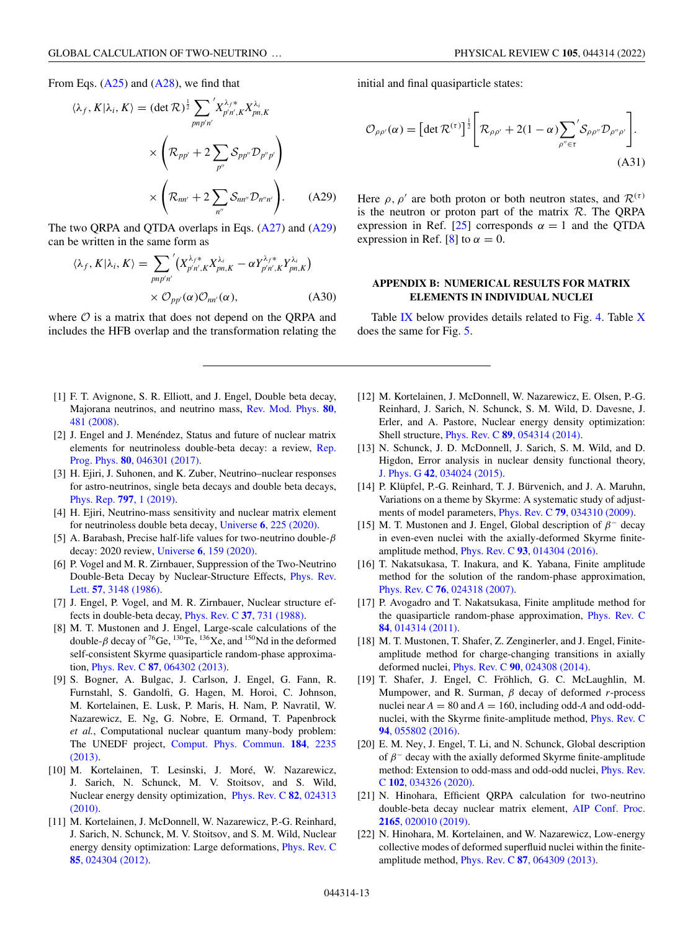<span id="page-12-0"></span>
$$
\langle \lambda_f, K | \lambda_i, K \rangle = (\det \mathcal{R})^{\frac{1}{2}} \sum_{pnp'n'} \chi^{\lambda_f *}_{p'n',K} X^{\lambda_i}_{pn,K}
$$

$$
\times \left( \mathcal{R}_{pp'} + 2 \sum_{p''} \mathcal{S}_{pp''} \mathcal{D}_{p''p'} \right)
$$

$$
\times \left( \mathcal{R}_{nn'} + 2 \sum_{n''} \mathcal{S}_{nn''} \mathcal{D}_{n''n'} \right). \tag{A29}
$$

The two QRPA and QTDA overlaps in Eqs. [\(A27\)](#page-10-0) and (A29) can be written in the same form as

$$
\langle \lambda_f, K | \lambda_i, K \rangle = \sum_{pnp'n'} \left( X_{p'n',K}^{\lambda_f *} X_{pn,K}^{\lambda_i} - \alpha Y_{p'n',K}^{\lambda_f *} Y_{pn,K}^{\lambda_i} \right)
$$

$$
\times \mathcal{O}_{pp'}(\alpha) \mathcal{O}_{nn'}(\alpha), \tag{A30}
$$

where  $O$  is a matrix that does not depend on the QRPA and includes the HFB overlap and the transformation relating the

- [1] F. T. Avignone, S. R. Elliott, and J. Engel, Double beta decay, [Majorana neutrinos, and neutrino mass,](https://doi.org/10.1103/RevModPhys.80.481) Rev. Mod. Phys. **80**, 481 (2008).
- [2] J. Engel and J. Menéndez, Status and future of nuclear matrix [elements for neutrinoless double-beta decay: a review,](https://doi.org/10.1088/1361-6633/aa5bc5) Rep. Prog. Phys. **80**, 046301 (2017).
- [3] H. Ejiri, J. Suhonen, and K. Zuber, Neutrino–nuclear responses for astro-neutrinos, single beta decays and double beta decays, [Phys. Rep.](https://doi.org/10.1016/j.physrep.2018.12.001) **797**, 1 (2019).
- [4] H. Ejiri, Neutrino-mass sensitivity and nuclear matrix element for neutrinoless double beta decay, Universe **6**[, 225 \(2020\).](https://doi.org/10.3390/universe6120225)
- [5] A. Barabash, Precise half-life values for two-neutrino double- $\beta$ decay: 2020 review, Universe **6**[, 159 \(2020\).](https://doi.org/10.3390/universe6100159)
- [6] P. Vogel and M. R. Zirnbauer, Suppression of the Two-Neutrino [Double-Beta Decay by Nuclear-Structure Effects,](https://doi.org/10.1103/PhysRevLett.57.3148) Phys. Rev. Lett. **57**, 3148 (1986).
- [7] J. Engel, P. Vogel, and M. R. Zirnbauer, Nuclear structure effects in double-beta decay, [Phys. Rev. C](https://doi.org/10.1103/PhysRevC.37.731) **37**, 731 (1988).
- [8] M. T. Mustonen and J. Engel, Large-scale calculations of the double- $\beta$  decay of <sup>76</sup>Ge, <sup>130</sup>Te, <sup>136</sup>Xe, and <sup>150</sup>Nd in the deformed self-consistent Skyrme quasiparticle random-phase approximation, Phys. Rev. C **87**[, 064302 \(2013\).](https://doi.org/10.1103/PhysRevC.87.064302)
- [9] S. Bogner, A. Bulgac, J. Carlson, J. Engel, G. Fann, R. Furnstahl, S. Gandolfi, G. Hagen, M. Horoi, C. Johnson, M. Kortelainen, E. Lusk, P. Maris, H. Nam, P. Navratil, W. Nazarewicz, E. Ng, G. Nobre, E. Ormand, T. Papenbrock *et al.*, Computational nuclear quantum many-body problem: The UNEDF project, [Comput. Phys. Commun.](https://doi.org/10.1016/j.cpc.2013.05.020) **184**, 2235 (2013).
- [10] M. Kortelainen, T. Lesinski, J. Moré, W. Nazarewicz, J. Sarich, N. Schunck, M. V. Stoitsov, and S. Wild, [Nuclear energy density optimization,](https://doi.org/10.1103/PhysRevC.82.024313) Phys. Rev. C **82**, 024313 (2010).
- [11] M. Kortelainen, J. McDonnell, W. Nazarewicz, P.-G. Reinhard, J. Sarich, N. Schunck, M. V. Stoitsov, and S. M. Wild, Nuclear [energy density optimization: Large deformations,](https://doi.org/10.1103/PhysRevC.85.024304) Phys. Rev. C **85**, 024304 (2012).

initial and final quasiparticle states:

$$
\mathcal{O}_{\rho\rho'}(\alpha) = \left[ \det \mathcal{R}^{(\tau)} \right]^{\frac{1}{2}} \left[ \mathcal{R}_{\rho\rho'} + 2(1-\alpha) \sum_{\rho'' \in \tau} \mathcal{S}_{\rho\rho''} \mathcal{D}_{\rho''\rho'} \right].
$$
\n(A31)

Here  $\rho$ ,  $\rho'$  are both proton or both neutron states, and  $\mathcal{R}^{(\tau)}$ is the neutron or proton part of the matrix  $R$ . The QRPA expression in Ref. [\[25\]](#page-13-0) corresponds  $\alpha = 1$  and the QTDA expression in Ref. [8] to  $\alpha = 0$ .

# **APPENDIX B: NUMERICAL RESULTS FOR MATRIX ELEMENTS IN INDIVIDUAL NUCLEI**

Table  $IX$  below provides details related to Fig. [4.](#page-7-0) Table  $X$ does the same for Fig. [5.](#page-8-0)

- [12] M. Kortelainen, J. McDonnell, W. Nazarewicz, E. Olsen, P.-G. Reinhard, J. Sarich, N. Schunck, S. M. Wild, D. Davesne, J. Erler, and A. Pastore, Nuclear energy density optimization: Shell structure, Phys. Rev. C **89**[, 054314 \(2014\).](https://doi.org/10.1103/PhysRevC.89.054314)
- [13] N. Schunck, J. D. McDonnell, J. Sarich, S. M. Wild, and D. Higdon, Error analysis in nuclear density functional theory, J. Phys. G **42**[, 034024 \(2015\).](https://doi.org/10.1088/0954-3899/42/3/034024)
- [14] P. Klüpfel, P.-G. Reinhard, T. J. Bürvenich, and J. A. Maruhn, Variations on a theme by Skyrme: A systematic study of adjustments of model parameters, Phys. Rev. C **79**[, 034310 \(2009\).](https://doi.org/10.1103/PhysRevC.79.034310)
- [15] M. T. Mustonen and J. Engel, Global description of  $\beta^-$  decay in even-even nuclei with the axially-deformed Skyrme finiteamplitude method, Phys. Rev. C **93**[, 014304 \(2016\).](https://doi.org/10.1103/PhysRevC.93.014304)
- [16] T. Nakatsukasa, T. Inakura, and K. Yabana, Finite amplitude method for the solution of the random-phase approximation, Phys. Rev. C **76**[, 024318 \(2007\).](https://doi.org/10.1103/PhysRevC.76.024318)
- [17] P. Avogadro and T. Nakatsukasa, Finite amplitude method for [the quasiparticle random-phase approximation,](https://doi.org/10.1103/PhysRevC.84.014314) Phys. Rev. C **84**, 014314 (2011).
- [18] M. T. Mustonen, T. Shafer, Z. Zenginerler, and J. Engel, Finiteamplitude method for charge-changing transitions in axially deformed nuclei, Phys. Rev. C **90**[, 024308 \(2014\).](https://doi.org/10.1103/PhysRevC.90.024308)
- [19] T. Shafer, J. Engel, C. Fröhlich, G. C. McLaughlin, M. Mumpower, and R. Surman, β decay of deformed *r*-process nuclei near  $A = 80$  and  $A = 160$ , including odd-A and odd-odd[nuclei, with the Skyrme finite-amplitude method,](https://doi.org/10.1103/PhysRevC.94.055802) Phys. Rev. C **94**, 055802 (2016).
- [20] E. M. Ney, J. Engel, T. Li, and N. Schunck, Global description of  $\beta^-$  decay with the axially deformed Skyrme finite-amplitude [method: Extension to odd-mass and odd-odd nuclei,](https://doi.org/10.1103/PhysRevC.102.034326) Phys. Rev. C **102**, 034326 (2020).
- [21] N. Hinohara, Efficient QRPA calculation for two-neutrino [double-beta decay nuclear matrix element,](https://doi.org/10.1063/1.5130971) AIP Conf. Proc. **2165**, 020010 (2019).
- [22] N. Hinohara, M. Kortelainen, and W. Nazarewicz, Low-energy collective modes of deformed superfluid nuclei within the finiteamplitude method, Phys. Rev. C **87**[, 064309 \(2013\).](https://doi.org/10.1103/PhysRevC.87.064309)